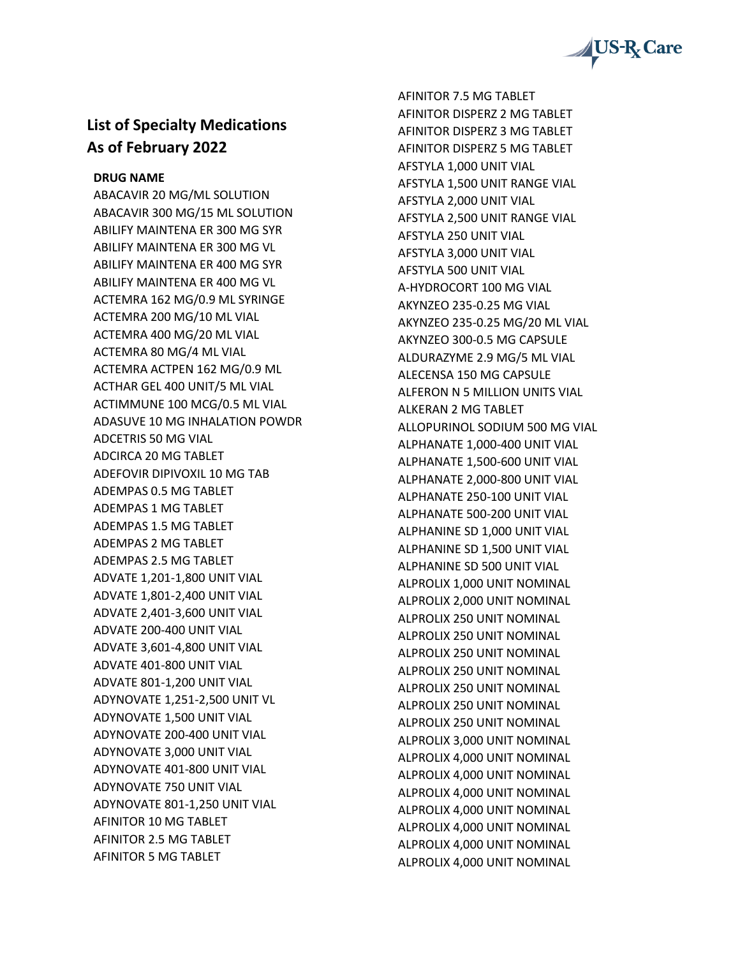

## **List of Specialty Medications As of February 2022**

**DRUG NAME**

ABACAVIR 20 MG/ML SOLUTION ABACAVIR 300 MG/15 ML SOLUTION ABILIFY MAINTENA ER 300 MG SYR ABILIFY MAINTENA ER 300 MG VL ABILIFY MAINTENA ER 400 MG SYR ABILIFY MAINTENA ER 400 MG VL ACTEMRA 162 MG/0.9 ML SYRINGE ACTEMRA 200 MG/10 ML VIAL ACTEMRA 400 MG/20 ML VIAL ACTEMRA 80 MG/4 ML VIAL ACTEMRA ACTPEN 162 MG/0.9 ML ACTHAR GEL 400 UNIT/5 ML VIAL ACTIMMUNE 100 MCG/0.5 ML VIAL ADASUVE 10 MG INHALATION POWDR ADCETRIS 50 MG VIAL ADCIRCA 20 MG TABLET ADEFOVIR DIPIVOXIL 10 MG TAB ADEMPAS 0.5 MG TABLET ADEMPAS 1 MG TABLET ADEMPAS 1.5 MG TABLET ADEMPAS 2 MG TABLET ADEMPAS 2.5 MG TABLET ADVATE 1,201-1,800 UNIT VIAL ADVATE 1,801-2,400 UNIT VIAL ADVATE 2,401-3,600 UNIT VIAL ADVATE 200-400 UNIT VIAL ADVATE 3,601-4,800 UNIT VIAL ADVATE 401-800 UNIT VIAL ADVATE 801-1,200 UNIT VIAL ADYNOVATE 1,251-2,500 UNIT VL ADYNOVATE 1,500 UNIT VIAL ADYNOVATE 200-400 UNIT VIAL ADYNOVATE 3,000 UNIT VIAL ADYNOVATE 401-800 UNIT VIAL ADYNOVATE 750 UNIT VIAL ADYNOVATE 801-1,250 UNIT VIAL AFINITOR 10 MG TABLET AFINITOR 2.5 MG TABLET AFINITOR 5 MG TABLET

AFINITOR 7.5 MG TABLET AFINITOR DISPERZ 2 MG TABLET AFINITOR DISPERZ 3 MG TABLET AFINITOR DISPERZ 5 MG TABLET AFSTYLA 1,000 UNIT VIAL AFSTYLA 1,500 UNIT RANGE VIAL AFSTYLA 2,000 UNIT VIAL AFSTYLA 2,500 UNIT RANGE VIAL AFSTYLA 250 UNIT VIAL AFSTYLA 3,000 UNIT VIAL AFSTYLA 500 UNIT VIAL A-HYDROCORT 100 MG VIAL AKYNZEO 235-0.25 MG VIAL AKYNZEO 235-0.25 MG/20 ML VIAL AKYNZEO 300-0.5 MG CAPSULE ALDURAZYME 2.9 MG/5 ML VIAL ALECENSA 150 MG CAPSULE ALFERON N 5 MILLION UNITS VIAL ALKERAN 2 MG TABLET ALLOPURINOL SODIUM 500 MG VIAL ALPHANATE 1,000-400 UNIT VIAL ALPHANATE 1,500-600 UNIT VIAL ALPHANATE 2,000-800 UNIT VIAL ALPHANATE 250-100 UNIT VIAL ALPHANATE 500-200 UNIT VIAL ALPHANINE SD 1,000 UNIT VIAL ALPHANINE SD 1,500 UNIT VIAL ALPHANINE SD 500 UNIT VIAL ALPROLIX 1,000 UNIT NOMINAL ALPROLIX 2,000 UNIT NOMINAL ALPROLIX 250 UNIT NOMINAL ALPROLIX 250 UNIT NOMINAL ALPROLIX 250 UNIT NOMINAL ALPROLIX 250 UNIT NOMINAL ALPROLIX 250 UNIT NOMINAL ALPROLIX 250 UNIT NOMINAL ALPROLIX 250 UNIT NOMINAL ALPROLIX 3,000 UNIT NOMINAL ALPROLIX 4,000 UNIT NOMINAL ALPROLIX 4,000 UNIT NOMINAL ALPROLIX 4,000 UNIT NOMINAL ALPROLIX 4,000 UNIT NOMINAL ALPROLIX 4,000 UNIT NOMINAL ALPROLIX 4,000 UNIT NOMINAL ALPROLIX 4,000 UNIT NOMINAL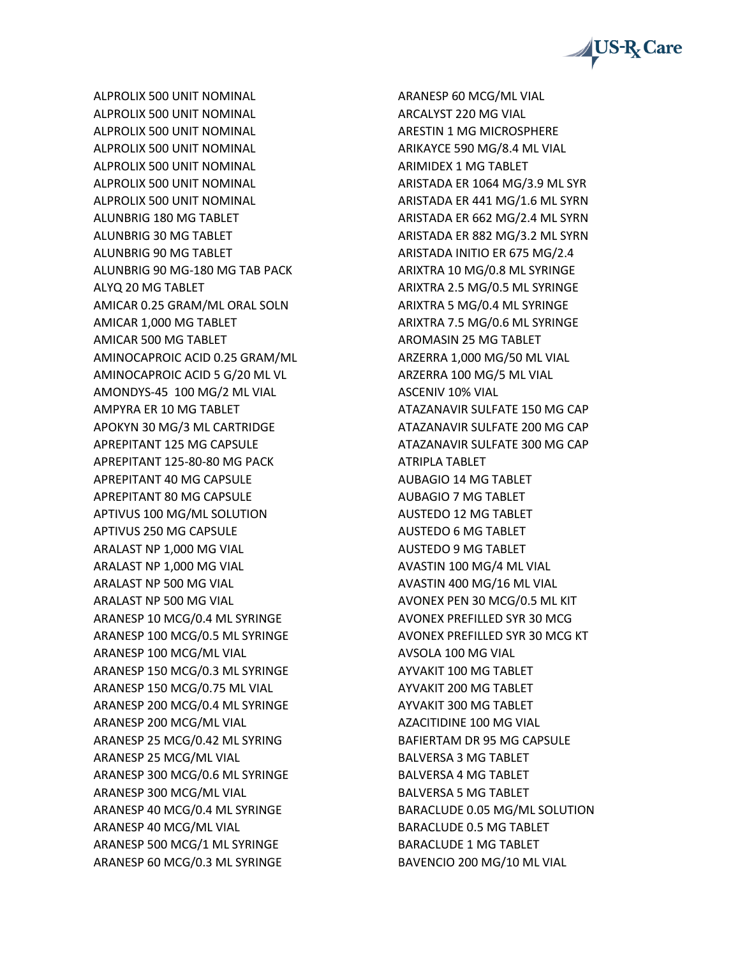

ALPROLIX 500 UNIT NOMINAL ALPROLIX 500 UNIT NOMINAL ALPROLIX 500 UNIT NOMINAL ALPROLIX 500 UNIT NOMINAL ALPROLIX 500 UNIT NOMINAL ALPROLIX 500 UNIT NOMINAL ALPROLIX 500 UNIT NOMINAL ALUNBRIG 180 MG TABLET ALUNBRIG 30 MG TABLET ALUNBRIG 90 MG TABLET ALUNBRIG 90 MG-180 MG TAB PACK ALYQ 20 MG TABLET AMICAR 0.25 GRAM/ML ORAL SOLN AMICAR 1,000 MG TABLET AMICAR 500 MG TABLET AMINOCAPROIC ACID 0.25 GRAM/ML AMINOCAPROIC ACID 5 G/20 ML VL AMONDYS-45 100 MG/2 ML VIAL AMPYRA ER 10 MG TABLET APOKYN 30 MG/3 ML CARTRIDGE APREPITANT 125 MG CAPSULE APREPITANT 125-80-80 MG PACK APREPITANT 40 MG CAPSULE APREPITANT 80 MG CAPSULE APTIVUS 100 MG/ML SOLUTION APTIVUS 250 MG CAPSULE ARALAST NP 1,000 MG VIAL ARALAST NP 1,000 MG VIAL ARALAST NP 500 MG VIAL ARALAST NP 500 MG VIAL ARANESP 10 MCG/0.4 ML SYRINGE ARANESP 100 MCG/0.5 ML SYRINGE ARANESP 100 MCG/ML VIAL ARANESP 150 MCG/0.3 ML SYRINGE ARANESP 150 MCG/0.75 ML VIAL ARANESP 200 MCG/0.4 ML SYRINGE ARANESP 200 MCG/ML VIAL ARANESP 25 MCG/0.42 ML SYRING ARANESP 25 MCG/ML VIAL ARANESP 300 MCG/0.6 ML SYRINGE ARANESP 300 MCG/ML VIAL ARANESP 40 MCG/0.4 ML SYRINGE ARANESP 40 MCG/ML VIAL ARANESP 500 MCG/1 ML SYRINGE ARANESP 60 MCG/0.3 ML SYRINGE

ARANESP 60 MCG/ML VIAL ARCALYST 220 MG VIAL ARESTIN 1 MG MICROSPHERE ARIKAYCE 590 MG/8.4 ML VIAL ARIMIDEX 1 MG TABLET ARISTADA ER 1064 MG/3.9 ML SYR ARISTADA ER 441 MG/1.6 ML SYRN ARISTADA ER 662 MG/2.4 ML SYRN ARISTADA ER 882 MG/3.2 ML SYRN ARISTADA INITIO ER 675 MG/2.4 ARIXTRA 10 MG/0.8 ML SYRINGE ARIXTRA 2.5 MG/0.5 ML SYRINGE ARIXTRA 5 MG/0.4 ML SYRINGE ARIXTRA 7.5 MG/0.6 ML SYRINGE AROMASIN 25 MG TABLET ARZERRA 1,000 MG/50 ML VIAL ARZERRA 100 MG/5 ML VIAL ASCENIV 10% VIAL ATAZANAVIR SULFATE 150 MG CAP ATAZANAVIR SULFATE 200 MG CAP ATAZANAVIR SULFATE 300 MG CAP ATRIPLA TABLET AUBAGIO 14 MG TABLET AUBAGIO 7 MG TABLET AUSTEDO 12 MG TABLET AUSTEDO 6 MG TABLET AUSTEDO 9 MG TABLET AVASTIN 100 MG/4 ML VIAL AVASTIN 400 MG/16 ML VIAL AVONEX PEN 30 MCG/0.5 ML KIT AVONEX PREFILLED SYR 30 MCG AVONEX PREFILLED SYR 30 MCG KT AVSOLA 100 MG VIAL AYVAKIT 100 MG TABLET AYVAKIT 200 MG TABLET AYVAKIT 300 MG TABLET AZACITIDINE 100 MG VIAL BAFIERTAM DR 95 MG CAPSULE BALVERSA 3 MG TABLET BALVERSA 4 MG TABLET BALVERSA 5 MG TABLET BARACLUDE 0.05 MG/ML SOLUTION BARACLUDE 0.5 MG TABLET BARACLUDE 1 MG TABLET BAVENCIO 200 MG/10 ML VIAL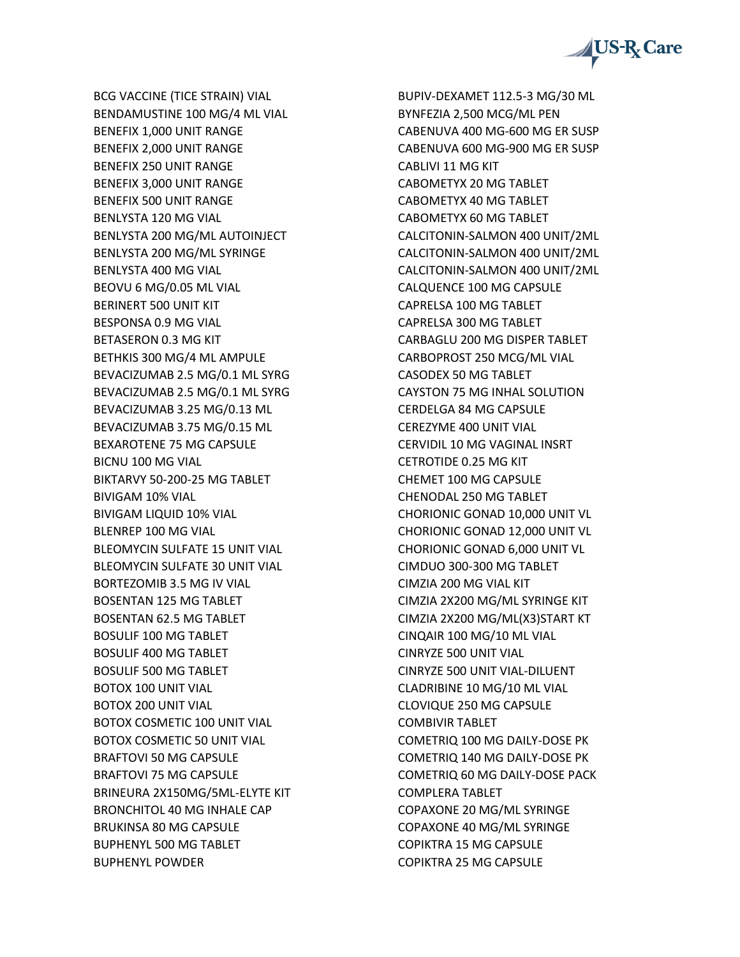

BCG VACCINE (TICE STRAIN) VIAL BENDAMUSTINE 100 MG/4 ML VIAL BENEFIX 1,000 UNIT RANGE BENEFIX 2,000 UNIT RANGE BENEFIX 250 UNIT RANGE BENEFIX 3,000 UNIT RANGE BENEFIX 500 UNIT RANGE BENLYSTA 120 MG VIAL BENLYSTA 200 MG/ML AUTOINJECT BENLYSTA 200 MG/ML SYRINGE BENLYSTA 400 MG VIAL BEOVU 6 MG/0.05 ML VIAL BERINERT 500 UNIT KIT BESPONSA 0.9 MG VIAL BETASERON 0.3 MG KIT BETHKIS 300 MG/4 ML AMPULE BEVACIZUMAB 2.5 MG/0.1 ML SYRG BEVACIZUMAB 2.5 MG/0.1 ML SYRG BEVACIZUMAB 3.25 MG/0.13 ML BEVACIZUMAB 3.75 MG/0.15 ML BEXAROTENE 75 MG CAPSULE BICNU 100 MG VIAL BIKTARVY 50-200-25 MG TABLET BIVIGAM 10% VIAL BIVIGAM LIQUID 10% VIAL BLENREP 100 MG VIAL BLEOMYCIN SULFATE 15 UNIT VIAL BLEOMYCIN SULFATE 30 UNIT VIAL BORTEZOMIB 3.5 MG IV VIAL BOSENTAN 125 MG TABLET BOSENTAN 62.5 MG TABLET BOSULIF 100 MG TABLET BOSULIF 400 MG TABLET BOSULIF 500 MG TABLET BOTOX 100 UNIT VIAL BOTOX 200 UNIT VIAL BOTOX COSMETIC 100 UNIT VIAL BOTOX COSMETIC 50 UNIT VIAL BRAFTOVI 50 MG CAPSULE BRAFTOVI 75 MG CAPSULE BRINEURA 2X150MG/5ML-ELYTE KIT BRONCHITOL 40 MG INHALE CAP BRUKINSA 80 MG CAPSULE BUPHENYL 500 MG TABLET BUPHENYL POWDER

BUPIV-DEXAMET 112.5-3 MG/30 ML BYNFEZIA 2,500 MCG/ML PEN CABENUVA 400 MG-600 MG ER SUSP CABENUVA 600 MG-900 MG ER SUSP CABLIVI 11 MG KIT CABOMETYX 20 MG TABLET CABOMETYX 40 MG TABLET CABOMETYX 60 MG TABLET CALCITONIN-SALMON 400 UNIT/2ML CALCITONIN-SALMON 400 UNIT/2ML CALCITONIN-SALMON 400 UNIT/2ML CALQUENCE 100 MG CAPSULE CAPRELSA 100 MG TABLET CAPRELSA 300 MG TABLET CARBAGLU 200 MG DISPER TABLET CARBOPROST 250 MCG/ML VIAL CASODEX 50 MG TABLET CAYSTON 75 MG INHAL SOLUTION CERDELGA 84 MG CAPSULE CEREZYME 400 UNIT VIAL CERVIDIL 10 MG VAGINAL INSRT CETROTIDE 0.25 MG KIT CHEMET 100 MG CAPSULE CHENODAL 250 MG TABLET CHORIONIC GONAD 10,000 UNIT VL CHORIONIC GONAD 12,000 UNIT VL CHORIONIC GONAD 6,000 UNIT VL CIMDUO 300-300 MG TABLET CIMZIA 200 MG VIAL KIT CIMZIA 2X200 MG/ML SYRINGE KIT CIMZIA 2X200 MG/ML(X3)START KT CINQAIR 100 MG/10 ML VIAL CINRYZE 500 UNIT VIAL CINRYZE 500 UNIT VIAL-DILUENT CLADRIBINE 10 MG/10 ML VIAL CLOVIQUE 250 MG CAPSULE COMBIVIR TABLET COMETRIQ 100 MG DAILY-DOSE PK COMETRIQ 140 MG DAILY-DOSE PK COMETRIQ 60 MG DAILY-DOSE PACK COMPLERA TABLET COPAXONE 20 MG/ML SYRINGE COPAXONE 40 MG/ML SYRINGE COPIKTRA 15 MG CAPSULE COPIKTRA 25 MG CAPSULE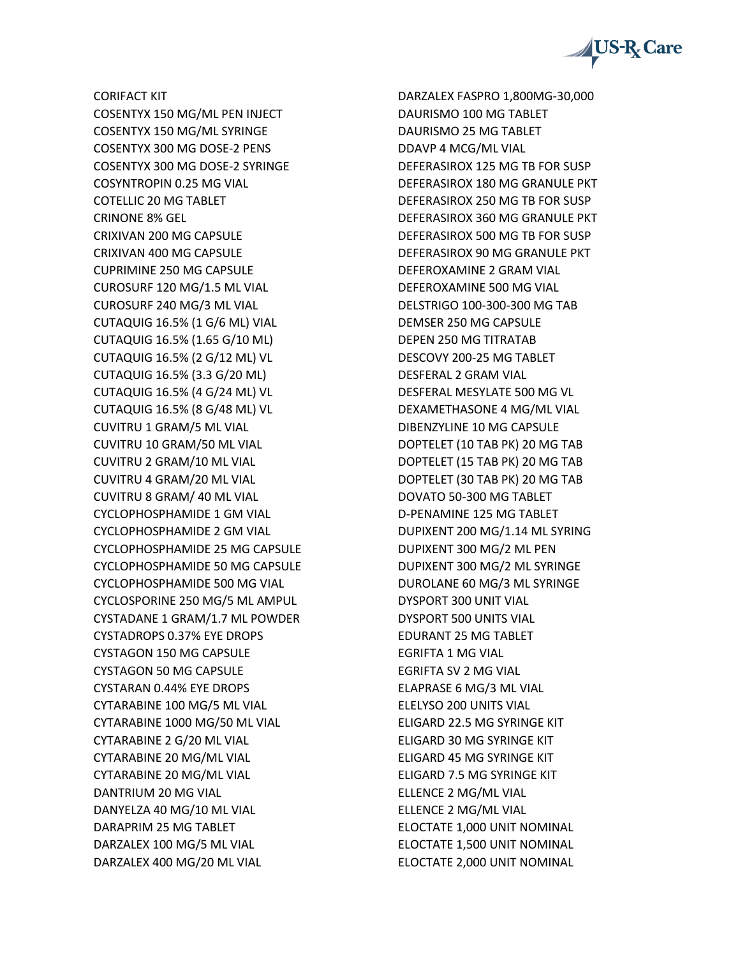

CORIFACT KIT COSENTYX 150 MG/ML PEN INJECT COSENTYX 150 MG/ML SYRINGE COSENTYX 300 MG DOSE-2 PENS COSENTYX 300 MG DOSE-2 SYRINGE COSYNTROPIN 0.25 MG VIAL COTELLIC 20 MG TABLET CRINONE 8% GEL CRIXIVAN 200 MG CAPSULE CRIXIVAN 400 MG CAPSULE CUPRIMINE 250 MG CAPSULE CUROSURF 120 MG/1.5 ML VIAL CUROSURF 240 MG/3 ML VIAL CUTAQUIG 16.5% (1 G/6 ML) VIAL CUTAQUIG 16.5% (1.65 G/10 ML) CUTAQUIG 16.5% (2 G/12 ML) VL CUTAQUIG 16.5% (3.3 G/20 ML) CUTAQUIG 16.5% (4 G/24 ML) VL CUTAQUIG 16.5% (8 G/48 ML) VL CUVITRU 1 GRAM/5 ML VIAL CUVITRU 10 GRAM/50 ML VIAL CUVITRU 2 GRAM/10 ML VIAL CUVITRU 4 GRAM/20 ML VIAL CUVITRU 8 GRAM/ 40 ML VIAL CYCLOPHOSPHAMIDE 1 GM VIAL CYCLOPHOSPHAMIDE 2 GM VIAL CYCLOPHOSPHAMIDE 25 MG CAPSULE CYCLOPHOSPHAMIDE 50 MG CAPSULE CYCLOPHOSPHAMIDE 500 MG VIAL CYCLOSPORINE 250 MG/5 ML AMPUL CYSTADANE 1 GRAM/1.7 ML POWDER CYSTADROPS 0.37% EYE DROPS CYSTAGON 150 MG CAPSULE CYSTAGON 50 MG CAPSULE CYSTARAN 0.44% EYE DROPS CYTARABINE 100 MG/5 ML VIAL CYTARABINE 1000 MG/50 ML VIAL CYTARABINE 2 G/20 ML VIAL CYTARABINE 20 MG/ML VIAL CYTARABINE 20 MG/ML VIAL DANTRIUM 20 MG VIAL DANYELZA 40 MG/10 ML VIAL DARAPRIM 25 MG TABLET DARZALEX 100 MG/5 ML VIAL DARZALEX 400 MG/20 ML VIAL

DARZALEX FASPRO 1,800MG-30,000 DAURISMO 100 MG TABLET DAURISMO 25 MG TABLET DDAVP 4 MCG/ML VIAL DEFERASIROX 125 MG TB FOR SUSP DEFERASIROX 180 MG GRANULE PKT DEFERASIROX 250 MG TB FOR SUSP DEFERASIROX 360 MG GRANULE PKT DEFERASIROX 500 MG TB FOR SUSP DEFERASIROX 90 MG GRANULE PKT DEFEROXAMINE 2 GRAM VIAL DEFEROXAMINE 500 MG VIAL DELSTRIGO 100-300-300 MG TAB DEMSER 250 MG CAPSULE DEPEN 250 MG TITRATAB DESCOVY 200-25 MG TABLET DESFERAL 2 GRAM VIAL DESFERAL MESYLATE 500 MG VL DEXAMETHASONE 4 MG/ML VIAL DIBENZYLINE 10 MG CAPSULE DOPTELET (10 TAB PK) 20 MG TAB DOPTELET (15 TAB PK) 20 MG TAB DOPTELET (30 TAB PK) 20 MG TAB DOVATO 50-300 MG TABLET D-PENAMINE 125 MG TABLET DUPIXENT 200 MG/1.14 ML SYRING DUPIXENT 300 MG/2 ML PEN DUPIXENT 300 MG/2 ML SYRINGE DUROLANE 60 MG/3 ML SYRINGE DYSPORT 300 UNIT VIAL DYSPORT 500 UNITS VIAL EDURANT 25 MG TABLET EGRIFTA 1 MG VIAL EGRIFTA SV 2 MG VIAL ELAPRASE 6 MG/3 ML VIAL ELELYSO 200 UNITS VIAL ELIGARD 22.5 MG SYRINGE KIT ELIGARD 30 MG SYRINGE KIT ELIGARD 45 MG SYRINGE KIT ELIGARD 7.5 MG SYRINGE KIT ELLENCE 2 MG/ML VIAL ELLENCE 2 MG/ML VIAL ELOCTATE 1,000 UNIT NOMINAL ELOCTATE 1,500 UNIT NOMINAL ELOCTATE 2,000 UNIT NOMINAL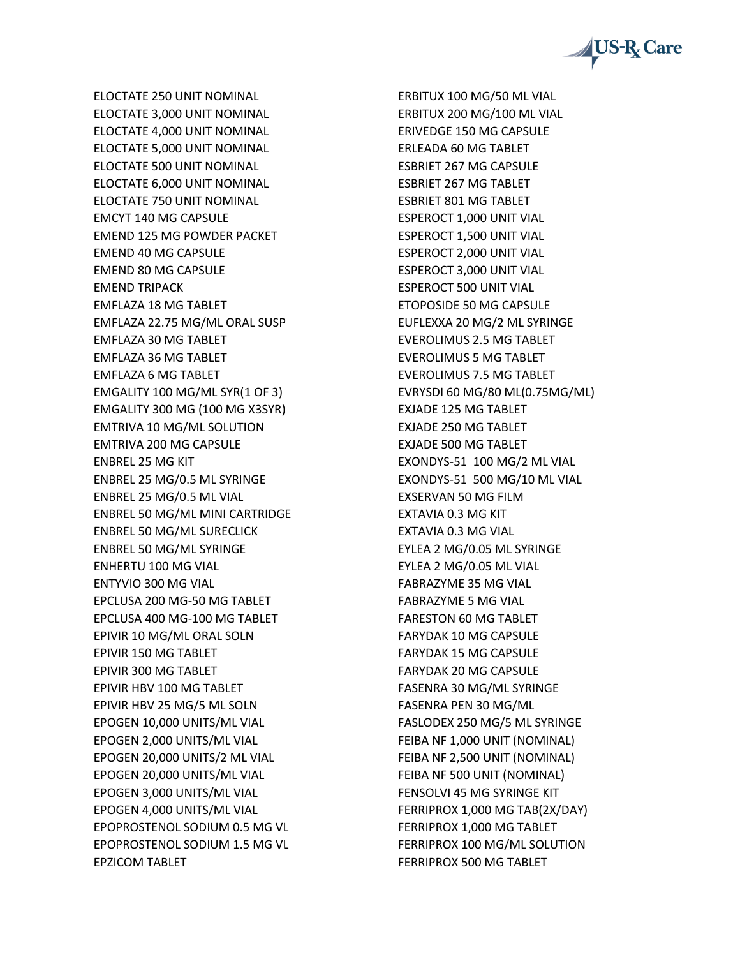

ELOCTATE 250 UNIT NOMINAL ELOCTATE 3,000 UNIT NOMINAL ELOCTATE 4,000 UNIT NOMINAL ELOCTATE 5,000 UNIT NOMINAL ELOCTATE 500 UNIT NOMINAL ELOCTATE 6,000 UNIT NOMINAL ELOCTATE 750 UNIT NOMINAL EMCYT 140 MG CAPSULE EMEND 125 MG POWDER PACKET EMEND 40 MG CAPSULE EMEND 80 MG CAPSULE EMEND TRIPACK EMFLAZA 18 MG TABLET EMFLAZA 22.75 MG/ML ORAL SUSP EMFLAZA 30 MG TABLET EMFLAZA 36 MG TABLET EMFLAZA 6 MG TABLET EMGALITY 100 MG/ML SYR(1 OF 3) EMGALITY 300 MG (100 MG X3SYR) EMTRIVA 10 MG/ML SOLUTION EMTRIVA 200 MG CAPSULE ENBREL 25 MG KIT ENBREL 25 MG/0.5 ML SYRINGE ENBREL 25 MG/0.5 ML VIAL ENBREL 50 MG/ML MINI CARTRIDGE ENBREL 50 MG/ML SURECLICK ENBREL 50 MG/ML SYRINGE ENHERTU 100 MG VIAL ENTYVIO 300 MG VIAL EPCLUSA 200 MG-50 MG TABLET EPCLUSA 400 MG-100 MG TABLET EPIVIR 10 MG/ML ORAL SOLN EPIVIR 150 MG TABLET EPIVIR 300 MG TABLET EPIVIR HBV 100 MG TABLET EPIVIR HBV 25 MG/5 ML SOLN EPOGEN 10,000 UNITS/ML VIAL EPOGEN 2,000 UNITS/ML VIAL EPOGEN 20,000 UNITS/2 ML VIAL EPOGEN 20,000 UNITS/ML VIAL EPOGEN 3,000 UNITS/ML VIAL EPOGEN 4,000 UNITS/ML VIAL EPOPROSTENOL SODIUM 0.5 MG VL EPOPROSTENOL SODIUM 1.5 MG VL EPZICOM TABLET

ERBITUX 100 MG/50 ML VIAL ERBITUX 200 MG/100 ML VIAL ERIVEDGE 150 MG CAPSULE ERLEADA 60 MG TABLET ESBRIET 267 MG CAPSULE ESBRIET 267 MG TABLET ESBRIET 801 MG TABLET ESPEROCT 1,000 UNIT VIAL ESPEROCT 1,500 UNIT VIAL ESPEROCT 2,000 UNIT VIAL ESPEROCT 3,000 UNIT VIAL ESPEROCT 500 UNIT VIAL ETOPOSIDE 50 MG CAPSULE EUFLEXXA 20 MG/2 ML SYRINGE EVEROLIMUS 2.5 MG TABLET EVEROLIMUS 5 MG TABLET EVEROLIMUS 7.5 MG TABLET EVRYSDI 60 MG/80 ML(0.75MG/ML) EXJADE 125 MG TABLET EXJADE 250 MG TABLET EXJADE 500 MG TABLET EXONDYS-51 100 MG/2 ML VIAL EXONDYS-51 500 MG/10 ML VIAL EXSERVAN 50 MG FILM EXTAVIA 0.3 MG KIT EXTAVIA 0.3 MG VIAL EYLEA 2 MG/0.05 ML SYRINGE EYLEA 2 MG/0.05 ML VIAL FABRAZYME 35 MG VIAL FABRAZYME 5 MG VIAL FARESTON 60 MG TABLET FARYDAK 10 MG CAPSULE FARYDAK 15 MG CAPSULE FARYDAK 20 MG CAPSULE FASENRA 30 MG/ML SYRINGE FASENRA PEN 30 MG/ML FASLODEX 250 MG/5 ML SYRINGE FEIBA NF 1,000 UNIT (NOMINAL) FEIBA NF 2,500 UNIT (NOMINAL) FEIBA NF 500 UNIT (NOMINAL) FENSOLVI 45 MG SYRINGE KIT FERRIPROX 1,000 MG TAB(2X/DAY) FERRIPROX 1,000 MG TABLET FERRIPROX 100 MG/ML SOLUTION FERRIPROX 500 MG TABLET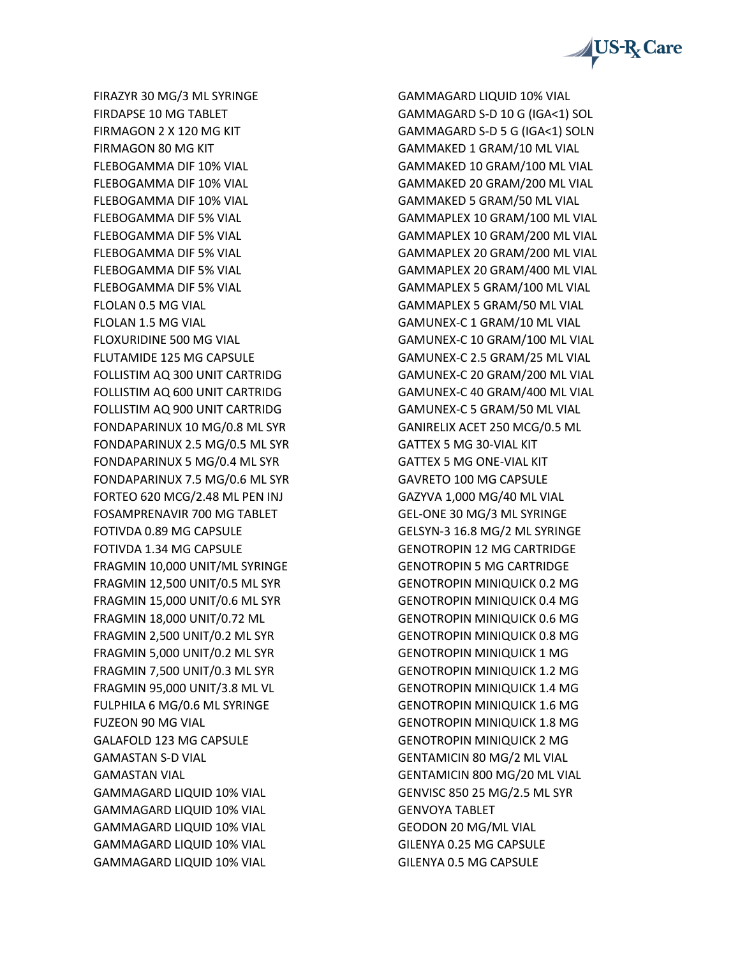

FIRAZYR 30 MG/3 ML SYRINGE FIRDAPSE 10 MG TABLET FIRMAGON 2 X 120 MG KIT FIRMAGON 80 MG KIT FLEBOGAMMA DIF 10% VIAL FLEBOGAMMA DIF 10% VIAL FLEBOGAMMA DIF 10% VIAL FLEBOGAMMA DIF 5% VIAL FLEBOGAMMA DIF 5% VIAL FLEBOGAMMA DIF 5% VIAL FLEBOGAMMA DIF 5% VIAL FLEBOGAMMA DIF 5% VIAL FLOLAN 0.5 MG VIAL FLOLAN 1.5 MG VIAL FLOXURIDINE 500 MG VIAL FLUTAMIDE 125 MG CAPSULE FOLLISTIM AQ 300 UNIT CARTRIDG FOLLISTIM AQ 600 UNIT CARTRIDG FOLLISTIM AQ 900 UNIT CARTRIDG FONDAPARINUX 10 MG/0.8 ML SYR FONDAPARINUX 2.5 MG/0.5 ML SYR FONDAPARINUX 5 MG/0.4 ML SYR FONDAPARINUX 7.5 MG/0.6 ML SYR FORTEO 620 MCG/2.48 ML PEN INJ FOSAMPRENAVIR 700 MG TABLET FOTIVDA 0.89 MG CAPSULE FOTIVDA 1.34 MG CAPSULE FRAGMIN 10,000 UNIT/ML SYRINGE FRAGMIN 12,500 UNIT/0.5 ML SYR FRAGMIN 15,000 UNIT/0.6 ML SYR FRAGMIN 18,000 UNIT/0.72 ML FRAGMIN 2,500 UNIT/0.2 ML SYR FRAGMIN 5,000 UNIT/0.2 ML SYR FRAGMIN 7,500 UNIT/0.3 ML SYR FRAGMIN 95,000 UNIT/3.8 ML VL FULPHILA 6 MG/0.6 ML SYRINGE FUZEON 90 MG VIAL GALAFOLD 123 MG CAPSULE GAMASTAN S-D VIAL GAMASTAN VIAL GAMMAGARD LIQUID 10% VIAL GAMMAGARD LIQUID 10% VIAL GAMMAGARD LIQUID 10% VIAL GAMMAGARD LIQUID 10% VIAL GAMMAGARD LIQUID 10% VIAL

GAMMAGARD LIQUID 10% VIAL GAMMAGARD S-D 10 G (IGA<1) SOL GAMMAGARD S-D 5 G (IGA<1) SOLN GAMMAKED 1 GRAM/10 ML VIAL GAMMAKED 10 GRAM/100 ML VIAL GAMMAKED 20 GRAM/200 ML VIAL GAMMAKED 5 GRAM/50 ML VIAL GAMMAPLEX 10 GRAM/100 ML VIAL GAMMAPLEX 10 GRAM/200 ML VIAL GAMMAPLEX 20 GRAM/200 ML VIAL GAMMAPLEX 20 GRAM/400 ML VIAL GAMMAPLEX 5 GRAM/100 ML VIAL GAMMAPLEX 5 GRAM/50 ML VIAL GAMUNEX-C 1 GRAM/10 ML VIAL GAMUNEX-C 10 GRAM/100 ML VIAL GAMUNEX-C 2.5 GRAM/25 ML VIAL GAMUNEX-C 20 GRAM/200 ML VIAL GAMUNEX-C 40 GRAM/400 ML VIAL GAMUNEX-C 5 GRAM/50 ML VIAL GANIRELIX ACET 250 MCG/0.5 ML GATTEX 5 MG 30-VIAL KIT GATTEX 5 MG ONE-VIAL KIT GAVRETO 100 MG CAPSULE GAZYVA 1,000 MG/40 ML VIAL GEL-ONE 30 MG/3 ML SYRINGE GELSYN-3 16.8 MG/2 ML SYRINGE GENOTROPIN 12 MG CARTRIDGE GENOTROPIN 5 MG CARTRIDGE GENOTROPIN MINIQUICK 0.2 MG GENOTROPIN MINIQUICK 0.4 MG GENOTROPIN MINIQUICK 0.6 MG GENOTROPIN MINIQUICK 0.8 MG GENOTROPIN MINIQUICK 1 MG GENOTROPIN MINIQUICK 1.2 MG GENOTROPIN MINIQUICK 1.4 MG GENOTROPIN MINIQUICK 1.6 MG GENOTROPIN MINIQUICK 1.8 MG GENOTROPIN MINIQUICK 2 MG GENTAMICIN 80 MG/2 ML VIAL GENTAMICIN 800 MG/20 ML VIAL GENVISC 850 25 MG/2.5 ML SYR GENVOYA TABLET GEODON 20 MG/ML VIAL GILENYA 0.25 MG CAPSULE GILENYA 0.5 MG CAPSULE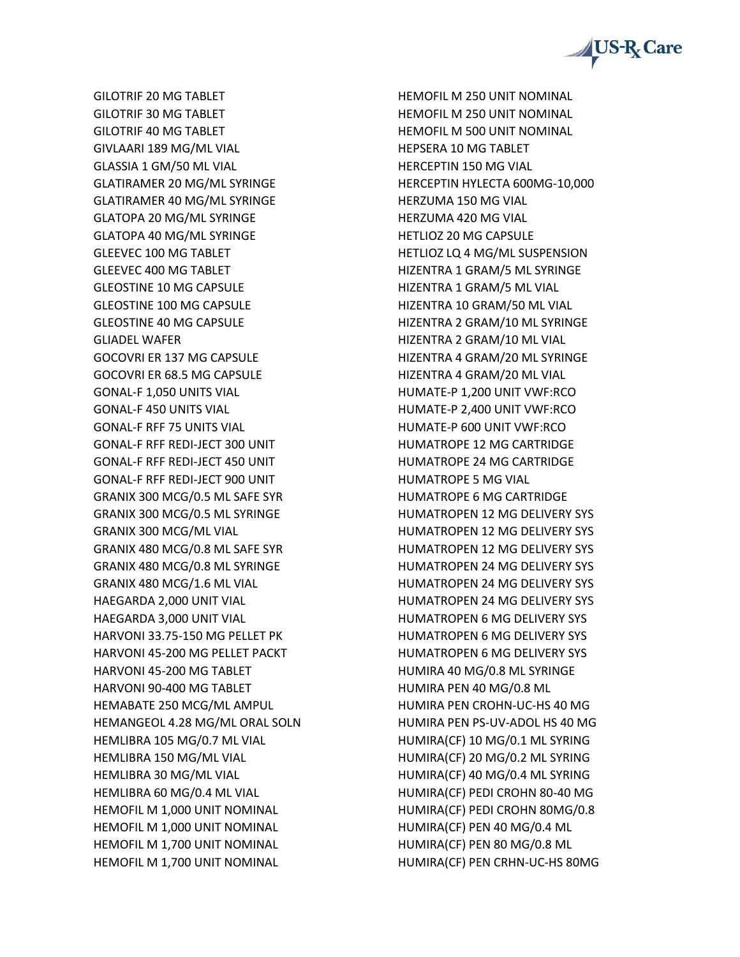

GILOTRIF 20 MG TABLET GILOTRIF 30 MG TABLET GILOTRIF 40 MG TABLET GIVLAARI 189 MG/ML VIAL GLASSIA 1 GM/50 ML VIAL GLATIRAMER 20 MG/ML SYRINGE GLATIRAMER 40 MG/ML SYRINGE GLATOPA 20 MG/ML SYRINGE GLATOPA 40 MG/ML SYRINGE GLEEVEC 100 MG TABLET GLEEVEC 400 MG TABLET GLEOSTINE 10 MG CAPSULE GLEOSTINE 100 MG CAPSULE GLEOSTINE 40 MG CAPSULE GLIADEL WAFER GOCOVRI ER 137 MG CAPSULE GOCOVRI ER 68.5 MG CAPSULE GONAL-F 1,050 UNITS VIAL GONAL-F 450 UNITS VIAL GONAL-F RFF 75 UNITS VIAL GONAL-F RFF REDI-JECT 300 UNIT GONAL-F RFF REDI-JECT 450 UNIT GONAL-F RFF REDI-JECT 900 UNIT GRANIX 300 MCG/0.5 ML SAFE SYR GRANIX 300 MCG/0.5 ML SYRINGE GRANIX 300 MCG/ML VIAL GRANIX 480 MCG/0.8 ML SAFE SYR GRANIX 480 MCG/0.8 ML SYRINGE GRANIX 480 MCG/1.6 ML VIAL HAEGARDA 2,000 UNIT VIAL HAEGARDA 3,000 UNIT VIAL HARVONI 33.75-150 MG PELLET PK HARVONI 45-200 MG PELLET PACKT HARVONI 45-200 MG TABLET HARVONI 90-400 MG TABLET HEMABATE 250 MCG/ML AMPUL HEMANGEOL 4.28 MG/ML ORAL SOLN HEMLIBRA 105 MG/0.7 ML VIAL HEMLIBRA 150 MG/ML VIAL HEMLIBRA 30 MG/ML VIAL HEMLIBRA 60 MG/0.4 ML VIAL HEMOFIL M 1,000 UNIT NOMINAL HEMOFIL M 1,000 UNIT NOMINAL HEMOFIL M 1,700 UNIT NOMINAL HEMOFIL M 1,700 UNIT NOMINAL

HEMOFIL M 250 UNIT NOMINAL HEMOFIL M 250 UNIT NOMINAL HEMOFIL M 500 UNIT NOMINAL HEPSERA 10 MG TABLET HERCEPTIN 150 MG VIAL HERCEPTIN HYLECTA 600MG-10,000 HERZUMA 150 MG VIAL HERZUMA 420 MG VIAL HETLIOZ 20 MG CAPSULE HETLIOZ LQ 4 MG/ML SUSPENSION HIZENTRA 1 GRAM/5 ML SYRINGE HIZENTRA 1 GRAM/5 ML VIAL HIZENTRA 10 GRAM/50 ML VIAL HIZENTRA 2 GRAM/10 ML SYRINGE HIZENTRA 2 GRAM/10 ML VIAL HIZENTRA 4 GRAM/20 ML SYRINGE HIZENTRA 4 GRAM/20 ML VIAL HUMATE-P 1,200 UNIT VWF:RCO HUMATE-P 2,400 UNIT VWF:RCO HUMATE-P 600 UNIT VWF:RCO HUMATROPE 12 MG CARTRIDGE HUMATROPE 24 MG CARTRIDGE HUMATROPE 5 MG VIAL HUMATROPE 6 MG CARTRIDGE HUMATROPEN 12 MG DELIVERY SYS HUMATROPEN 12 MG DELIVERY SYS HUMATROPEN 12 MG DELIVERY SYS HUMATROPEN 24 MG DELIVERY SYS HUMATROPEN 24 MG DELIVERY SYS HUMATROPEN 24 MG DELIVERY SYS HUMATROPEN 6 MG DELIVERY SYS HUMATROPEN 6 MG DELIVERY SYS HUMATROPEN 6 MG DELIVERY SYS HUMIRA 40 MG/0.8 ML SYRINGE HUMIRA PEN 40 MG/0.8 ML HUMIRA PEN CROHN-UC-HS 40 MG HUMIRA PEN PS-UV-ADOL HS 40 MG HUMIRA(CF) 10 MG/0.1 ML SYRING HUMIRA(CF) 20 MG/0.2 ML SYRING HUMIRA(CF) 40 MG/0.4 ML SYRING HUMIRA(CF) PEDI CROHN 80-40 MG HUMIRA(CF) PEDI CROHN 80MG/0.8 HUMIRA(CF) PEN 40 MG/0.4 ML HUMIRA(CF) PEN 80 MG/0.8 ML HUMIRA(CF) PEN CRHN-UC-HS 80MG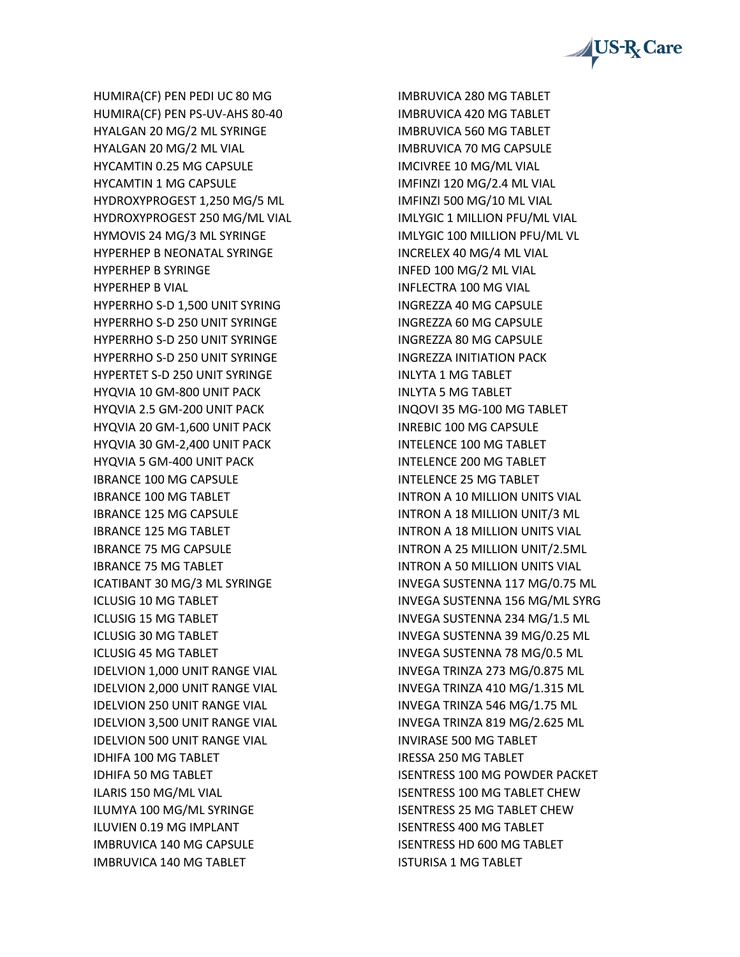

HUMIRA(CF) PEN PEDI UC 80 MG HUMIRA(CF) PEN PS-UV-AHS 80-40 HYALGAN 20 MG/2 ML SYRINGE HYALGAN 20 MG/2 ML VIAL HYCAMTIN 0.25 MG CAPSULE HYCAMTIN 1 MG CAPSULE HYDROXYPROGEST 1,250 MG/5 ML HYDROXYPROGEST 250 MG/ML VIAL HYMOVIS 24 MG/3 ML SYRINGE HYPERHEP B NEONATAL SYRINGE HYPERHEP B SYRINGE HYPERHEP B VIAL HYPERRHO S-D 1,500 UNIT SYRING HYPERRHO S-D 250 UNIT SYRINGE HYPERRHO S-D 250 UNIT SYRINGE HYPERRHO S-D 250 UNIT SYRINGE HYPERTET S-D 250 UNIT SYRINGE HYQVIA 10 GM-800 UNIT PACK HYQVIA 2.5 GM-200 UNIT PACK HYQVIA 20 GM-1,600 UNIT PACK HYQVIA 30 GM-2,400 UNIT PACK HYQVIA 5 GM-400 UNIT PACK IBRANCE 100 MG CAPSULE IBRANCE 100 MG TABLET IBRANCE 125 MG CAPSULE IBRANCE 125 MG TABLET IBRANCE 75 MG CAPSULE IBRANCE 75 MG TABLET ICATIBANT 30 MG/3 ML SYRINGE ICLUSIG 10 MG TABLET ICLUSIG 15 MG TABLET ICLUSIG 30 MG TABLET ICLUSIG 45 MG TABLET IDELVION 1,000 UNIT RANGE VIAL IDELVION 2,000 UNIT RANGE VIAL IDELVION 250 UNIT RANGE VIAL IDELVION 3,500 UNIT RANGE VIAL IDELVION 500 UNIT RANGE VIAL IDHIFA 100 MG TABLET IDHIFA 50 MG TABLET ILARIS 150 MG/ML VIAL ILUMYA 100 MG/ML SYRINGE ILUVIEN 0.19 MG IMPLANT IMBRUVICA 140 MG CAPSULE IMBRUVICA 140 MG TABLET

IMBRUVICA 280 MG TABLET IMBRUVICA 420 MG TABLET IMBRUVICA 560 MG TABLET IMBRUVICA 70 MG CAPSULE IMCIVREE 10 MG/ML VIAL IMFINZI 120 MG/2.4 ML VIAL IMFINZI 500 MG/10 ML VIAL IMLYGIC 1 MILLION PFU/ML VIAL IMLYGIC 100 MILLION PFU/ML VL INCRELEX 40 MG/4 ML VIAL INFED 100 MG/2 ML VIAL INFLECTRA 100 MG VIAL INGREZZA 40 MG CAPSULE INGREZZA 60 MG CAPSULE INGREZZA 80 MG CAPSULE INGREZZA INITIATION PACK INLYTA 1 MG TABLET INLYTA 5 MG TABLET INQOVI 35 MG-100 MG TABLET INREBIC 100 MG CAPSULE INTELENCE 100 MG TABLET INTELENCE 200 MG TABLET INTELENCE 25 MG TABLET INTRON A 10 MILLION UNITS VIAL INTRON A 18 MILLION UNIT/3 ML INTRON A 18 MILLION UNITS VIAL INTRON A 25 MILLION UNIT/2.5ML INTRON A 50 MILLION UNITS VIAL INVEGA SUSTENNA 117 MG/0.75 ML INVEGA SUSTENNA 156 MG/ML SYRG INVEGA SUSTENNA 234 MG/1.5 ML INVEGA SUSTENNA 39 MG/0.25 ML INVEGA SUSTENNA 78 MG/0.5 ML INVEGA TRINZA 273 MG/0.875 ML INVEGA TRINZA 410 MG/1.315 ML INVEGA TRINZA 546 MG/1.75 ML INVEGA TRINZA 819 MG/2.625 ML INVIRASE 500 MG TABLET IRESSA 250 MG TABLET ISENTRESS 100 MG POWDER PACKET ISENTRESS 100 MG TABLET CHEW ISENTRESS 25 MG TABLET CHEW ISENTRESS 400 MG TABLET ISENTRESS HD 600 MG TABLET ISTURISA 1 MG TABLET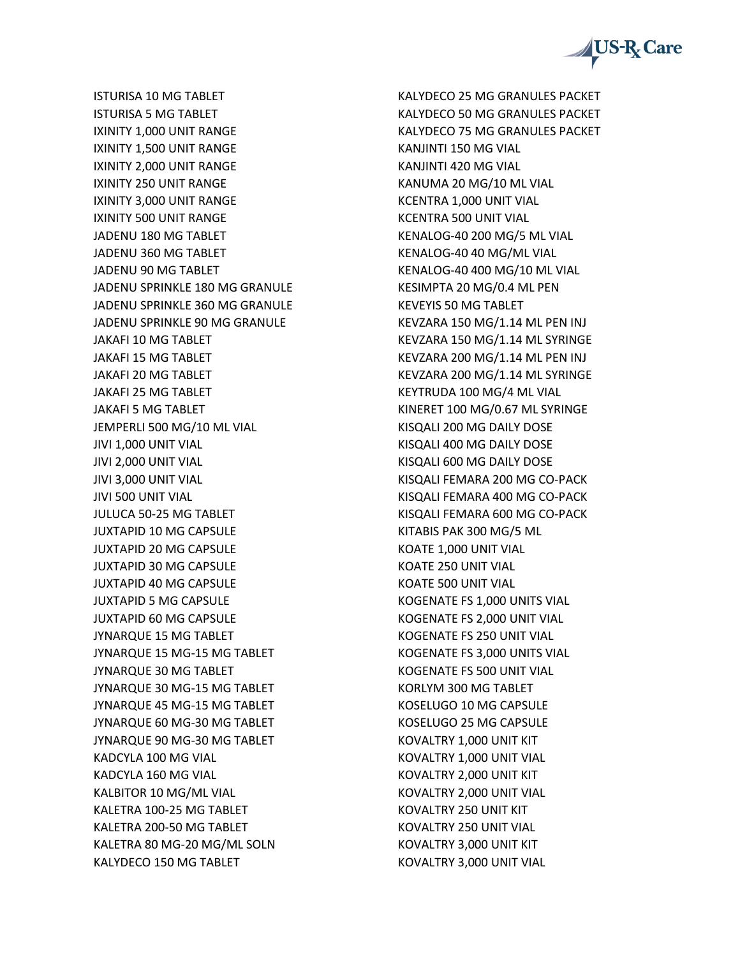

ISTURISA 10 MG TABLET ISTURISA 5 MG TABLET IXINITY 1,000 UNIT RANGE IXINITY 1,500 UNIT RANGE IXINITY 2,000 UNIT RANGE IXINITY 250 UNIT RANGE IXINITY 3,000 UNIT RANGE IXINITY 500 UNIT RANGE JADENU 180 MG TABLET JADENU 360 MG TABLET JADENU 90 MG TABLET JADENU SPRINKLE 180 MG GRANULE JADENU SPRINKLE 360 MG GRANULE JADENU SPRINKLE 90 MG GRANULE JAKAFI 10 MG TABLET JAKAFI 15 MG TABLET JAKAFI 20 MG TABLET JAKAFI 25 MG TABLET JAKAFI 5 MG TABLET JEMPERLI 500 MG/10 ML VIAL JIVI 1,000 UNIT VIAL JIVI 2,000 UNIT VIAL JIVI 3,000 UNIT VIAL JIVI 500 UNIT VIAL JULUCA 50-25 MG TABLET JUXTAPID 10 MG CAPSULE JUXTAPID 20 MG CAPSULE JUXTAPID 30 MG CAPSULE JUXTAPID 40 MG CAPSULE JUXTAPID 5 MG CAPSULE JUXTAPID 60 MG CAPSULE JYNARQUE 15 MG TABLET JYNARQUE 15 MG-15 MG TABLET JYNARQUE 30 MG TABLET JYNARQUE 30 MG-15 MG TABLET JYNARQUE 45 MG-15 MG TABLET JYNARQUE 60 MG-30 MG TABLET JYNARQUE 90 MG-30 MG TABLET KADCYLA 100 MG VIAL KADCYLA 160 MG VIAL KALBITOR 10 MG/ML VIAL KALETRA 100-25 MG TABLET KALETRA 200-50 MG TABLET KALETRA 80 MG-20 MG/ML SOLN KALYDECO 150 MG TABLET

KALYDECO 25 MG GRANULES PACKET KALYDECO 50 MG GRANULES PACKET KALYDECO 75 MG GRANULES PACKET KANJINTI 150 MG VIAL KANJINTI 420 MG VIAL KANUMA 20 MG/10 ML VIAL KCENTRA 1,000 UNIT VIAL KCENTRA 500 UNIT VIAL KENALOG-40 200 MG/5 ML VIAL KENALOG-40 40 MG/ML VIAL KENALOG-40 400 MG/10 ML VIAL KESIMPTA 20 MG/0.4 ML PEN KEVEYIS 50 MG TABLET KEVZARA 150 MG/1.14 ML PEN INJ KEVZARA 150 MG/1.14 ML SYRINGE KEVZARA 200 MG/1.14 ML PEN INJ KEVZARA 200 MG/1.14 ML SYRINGE KEYTRUDA 100 MG/4 ML VIAL KINERET 100 MG/0.67 ML SYRINGE KISQALI 200 MG DAILY DOSE KISQALI 400 MG DAILY DOSE KISQALI 600 MG DAILY DOSE KISQALI FEMARA 200 MG CO-PACK KISQALI FEMARA 400 MG CO-PACK KISQALI FEMARA 600 MG CO-PACK KITABIS PAK 300 MG/5 ML KOATE 1,000 UNIT VIAL KOATE 250 UNIT VIAL KOATE 500 UNIT VIAL KOGENATE FS 1,000 UNITS VIAL KOGENATE FS 2,000 UNIT VIAL KOGENATE FS 250 UNIT VIAL KOGENATE FS 3,000 UNITS VIAL KOGENATE FS 500 UNIT VIAL KORLYM 300 MG TABLET KOSELUGO 10 MG CAPSULE KOSELUGO 25 MG CAPSULE KOVALTRY 1,000 UNIT KIT KOVALTRY 1,000 UNIT VIAL KOVALTRY 2,000 UNIT KIT KOVALTRY 2,000 UNIT VIAL KOVALTRY 250 UNIT KIT KOVALTRY 250 UNIT VIAL KOVALTRY 3,000 UNIT KIT KOVALTRY 3,000 UNIT VIAL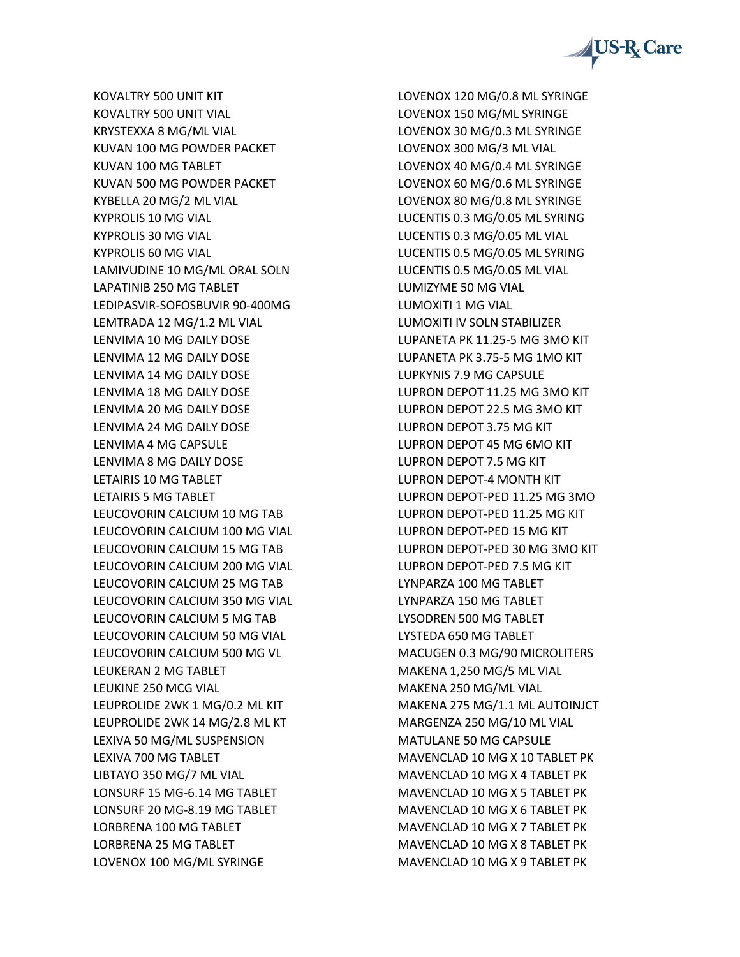

KOVALTRY 500 UNIT KIT KOVALTRY 500 UNIT VIAL KRYSTEXXA 8 MG/ML VIAL KUVAN 100 MG POWDER PACKET KUVAN 100 MG TABLET KUVAN 500 MG POWDER PACKET KYBELLA 20 MG/2 ML VIAL KYPROLIS 10 MG VIAL KYPROLIS 30 MG VIAL KYPROLIS 60 MG VIAL LAMIVUDINE 10 MG/ML ORAL SOLN LAPATINIB 250 MG TABLET LEDIPASVIR-SOFOSBUVIR 90-400MG LEMTRADA 12 MG/1.2 ML VIAL LENVIMA 10 MG DAILY DOSE LENVIMA 12 MG DAILY DOSE LENVIMA 14 MG DAILY DOSE LENVIMA 18 MG DAILY DOSE LENVIMA 20 MG DAILY DOSE LENVIMA 24 MG DAILY DOSE LENVIMA 4 MG CAPSULE LENVIMA 8 MG DAILY DOSE LETAIRIS 10 MG TABLET LETAIRIS 5 MG TABLET LEUCOVORIN CALCIUM 10 MG TAB LEUCOVORIN CALCIUM 100 MG VIAL LEUCOVORIN CALCIUM 15 MG TAB LEUCOVORIN CALCIUM 200 MG VIAL LEUCOVORIN CALCIUM 25 MG TAB LEUCOVORIN CALCIUM 350 MG VIAL LEUCOVORIN CALCIUM 5 MG TAB LEUCOVORIN CALCIUM 50 MG VIAL LEUCOVORIN CALCIUM 500 MG VL LEUKERAN 2 MG TABLET LEUKINE 250 MCG VIAL LEUPROLIDE 2WK 1 MG/0.2 ML KIT LEUPROLIDE 2WK 14 MG/2.8 ML KT LEXIVA 50 MG/ML SUSPENSION LEXIVA 700 MG TABLET LIBTAYO 350 MG/7 ML VIAL LONSURF 15 MG-6.14 MG TABLET LONSURF 20 MG-8.19 MG TABLET LORBRENA 100 MG TABLET LORBRENA 25 MG TABLET LOVENOX 100 MG/ML SYRINGE

LOVENOX 120 MG/0.8 ML SYRINGE LOVENOX 150 MG/ML SYRINGE LOVENOX 30 MG/0.3 ML SYRINGE LOVENOX 300 MG/3 ML VIAL LOVENOX 40 MG/0.4 ML SYRINGE LOVENOX 60 MG/0.6 ML SYRINGE LOVENOX 80 MG/0.8 ML SYRINGE LUCENTIS 0.3 MG/0.05 ML SYRING LUCENTIS 0.3 MG/0.05 ML VIAL LUCENTIS 0.5 MG/0.05 ML SYRING LUCENTIS 0.5 MG/0.05 ML VIAL LUMIZYME 50 MG VIAL LUMOXITI 1 MG VIAL LUMOXITI IV SOLN STABILIZER LUPANETA PK 11.25-5 MG 3MO KIT LUPANETA PK 3.75-5 MG 1MO KIT LUPKYNIS 7.9 MG CAPSULE LUPRON DEPOT 11.25 MG 3MO KIT LUPRON DEPOT 22.5 MG 3MO KIT LUPRON DEPOT 3.75 MG KIT LUPRON DEPOT 45 MG 6MO KIT LUPRON DEPOT 7.5 MG KIT LUPRON DEPOT-4 MONTH KIT LUPRON DEPOT-PED 11.25 MG 3MO LUPRON DEPOT-PED 11.25 MG KIT LUPRON DEPOT-PED 15 MG KIT LUPRON DEPOT-PED 30 MG 3MO KIT LUPRON DEPOT-PED 7.5 MG KIT LYNPARZA 100 MG TABLET LYNPARZA 150 MG TABLET LYSODREN 500 MG TABLET LYSTEDA 650 MG TABLET MACUGEN 0.3 MG/90 MICROLITERS MAKENA 1,250 MG/5 ML VIAL MAKENA 250 MG/ML VIAL MAKENA 275 MG/1.1 ML AUTOINJCT MARGENZA 250 MG/10 ML VIAL MATULANE 50 MG CAPSULE MAVENCLAD 10 MG X 10 TABLET PK MAVENCLAD 10 MG X 4 TABLET PK MAVENCLAD 10 MG X 5 TABLET PK MAVENCLAD 10 MG X 6 TABLET PK MAVENCLAD 10 MG X 7 TABLET PK MAVENCLAD 10 MG X 8 TABLET PK MAVENCLAD 10 MG X 9 TABLET PK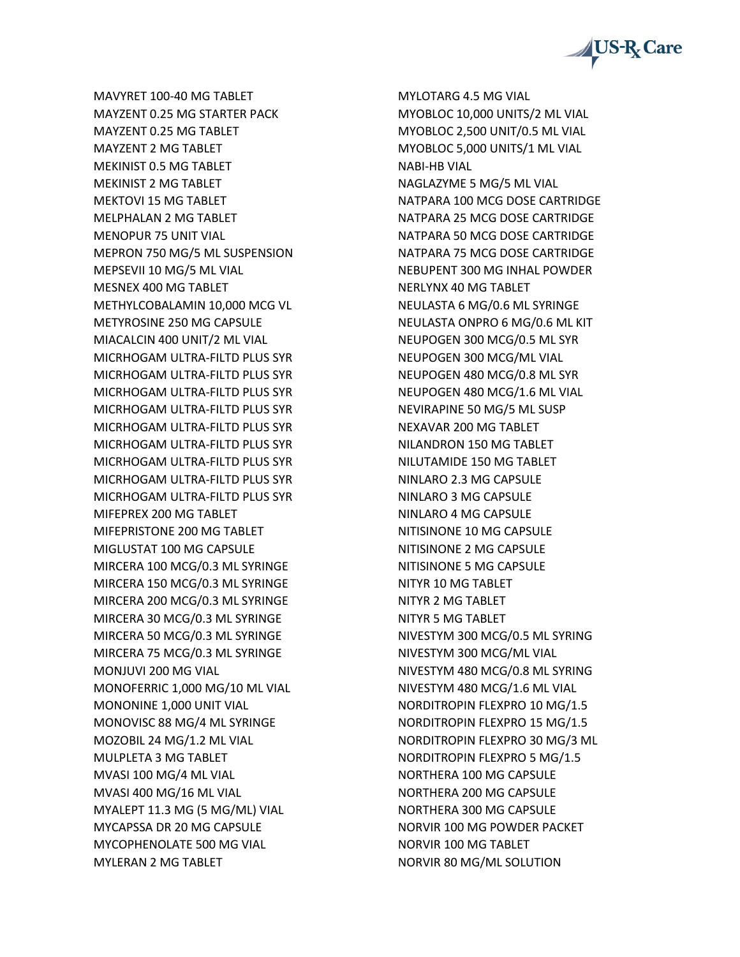

MAVYRET 100-40 MG TABLET MAYZENT 0.25 MG STARTER PACK MAYZENT 0.25 MG TABLET MAYZENT 2 MG TABLET MEKINIST 0.5 MG TABLET MEKINIST 2 MG TABLET MEKTOVI 15 MG TABLET MELPHALAN 2 MG TABLET MENOPUR 75 UNIT VIAL MEPRON 750 MG/5 ML SUSPENSION MEPSEVII 10 MG/5 ML VIAL MESNEX 400 MG TABLET METHYLCOBALAMIN 10,000 MCG VL METYROSINE 250 MG CAPSULE MIACALCIN 400 UNIT/2 ML VIAL MICRHOGAM ULTRA-FILTD PLUS SYR MICRHOGAM ULTRA-FILTD PLUS SYR MICRHOGAM ULTRA-FILTD PLUS SYR MICRHOGAM ULTRA-FILTD PLUS SYR MICRHOGAM ULTRA-FILTD PLUS SYR MICRHOGAM ULTRA-FILTD PLUS SYR MICRHOGAM ULTRA-FILTD PLUS SYR MICRHOGAM ULTRA-FILTD PLUS SYR MICRHOGAM ULTRA-FILTD PLUS SYR MIFEPREX 200 MG TABLET MIFEPRISTONE 200 MG TABLET MIGLUSTAT 100 MG CAPSULE MIRCERA 100 MCG/0.3 ML SYRINGE MIRCERA 150 MCG/0.3 ML SYRINGE MIRCERA 200 MCG/0.3 ML SYRINGE MIRCERA 30 MCG/0.3 ML SYRINGE MIRCERA 50 MCG/0.3 ML SYRINGE MIRCERA 75 MCG/0.3 ML SYRINGE MONJUVI 200 MG VIAL MONOFERRIC 1,000 MG/10 ML VIAL MONONINE 1,000 UNIT VIAL MONOVISC 88 MG/4 ML SYRINGE MOZOBIL 24 MG/1.2 ML VIAL MULPLETA 3 MG TABLET MVASI 100 MG/4 ML VIAL MVASI 400 MG/16 ML VIAL MYALEPT 11.3 MG (5 MG/ML) VIAL MYCAPSSA DR 20 MG CAPSULE MYCOPHENOLATE 500 MG VIAL MYLERAN 2 MG TABLET

MYLOTARG 4.5 MG VIAL MYOBLOC 10,000 UNITS/2 ML VIAL MYOBLOC 2,500 UNIT/0.5 ML VIAL MYOBLOC 5,000 UNITS/1 ML VIAL NABI-HB VIAL NAGLAZYME 5 MG/5 ML VIAL NATPARA 100 MCG DOSE CARTRIDGE NATPARA 25 MCG DOSE CARTRIDGE NATPARA 50 MCG DOSE CARTRIDGE NATPARA 75 MCG DOSE CARTRIDGE NEBUPENT 300 MG INHAL POWDER NERLYNX 40 MG TABLET NEULASTA 6 MG/0.6 ML SYRINGE NEULASTA ONPRO 6 MG/0.6 ML KIT NEUPOGEN 300 MCG/0.5 ML SYR NEUPOGEN 300 MCG/ML VIAL NEUPOGEN 480 MCG/0.8 ML SYR NEUPOGEN 480 MCG/1.6 ML VIAL NEVIRAPINE 50 MG/5 ML SUSP NEXAVAR 200 MG TABLET NILANDRON 150 MG TABLET NILUTAMIDE 150 MG TABLET NINLARO 2.3 MG CAPSULE NINLARO 3 MG CAPSULE NINLARO 4 MG CAPSULE NITISINONE 10 MG CAPSULE NITISINONE 2 MG CAPSULE NITISINONE 5 MG CAPSULE NITYR 10 MG TABLET NITYR 2 MG TABLET NITYR 5 MG TABLET NIVESTYM 300 MCG/0.5 ML SYRING NIVESTYM 300 MCG/ML VIAL NIVESTYM 480 MCG/0.8 ML SYRING NIVESTYM 480 MCG/1.6 ML VIAL NORDITROPIN FLEXPRO 10 MG/1.5 NORDITROPIN FLEXPRO 15 MG/1.5 NORDITROPIN FLEXPRO 30 MG/3 ML NORDITROPIN FLEXPRO 5 MG/1.5 NORTHERA 100 MG CAPSULE NORTHERA 200 MG CAPSULE NORTHERA 300 MG CAPSULE NORVIR 100 MG POWDER PACKET NORVIR 100 MG TABLET NORVIR 80 MG/ML SOLUTION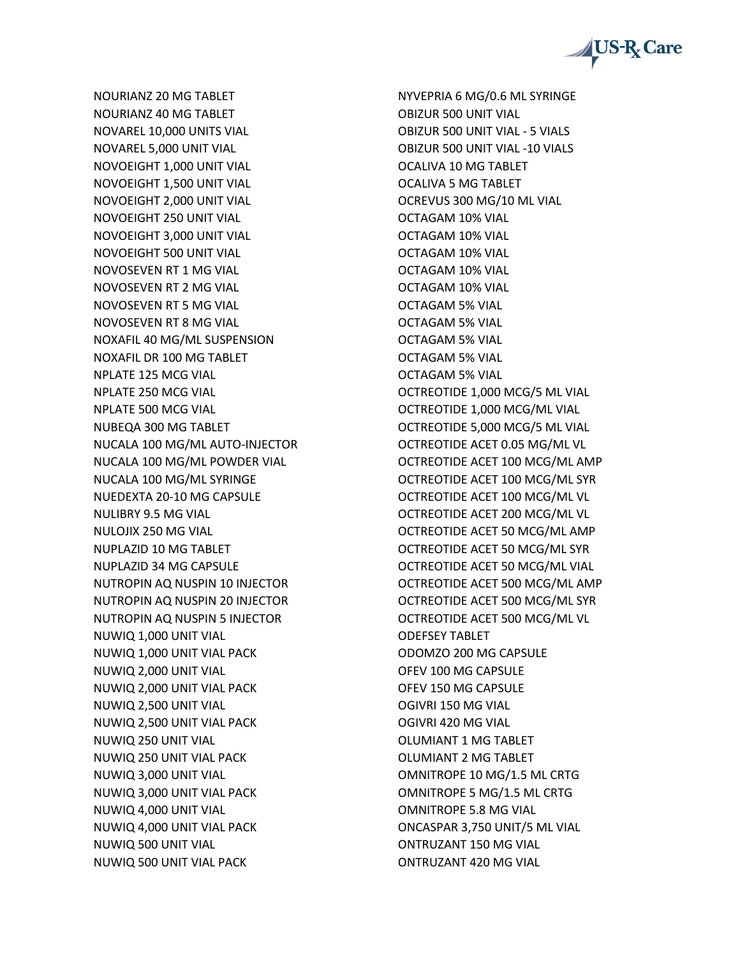

NOURIANZ 20 MG TABLET NOURIANZ 40 MG TABLET NOVAREL 10,000 UNITS VIAL NOVAREL 5,000 UNIT VIAL NOVOEIGHT 1,000 UNIT VIAL NOVOEIGHT 1,500 UNIT VIAL NOVOEIGHT 2,000 UNIT VIAL NOVOEIGHT 250 UNIT VIAL NOVOEIGHT 3,000 UNIT VIAL NOVOEIGHT 500 UNIT VIAL NOVOSEVEN RT 1 MG VIAL NOVOSEVEN RT 2 MG VIAL NOVOSEVEN RT 5 MG VIAL NOVOSEVEN RT 8 MG VIAL NOXAFIL 40 MG/ML SUSPENSION NOXAFIL DR 100 MG TABLET NPLATE 125 MCG VIAL NPLATE 250 MCG VIAL NPLATE 500 MCG VIAL NUBEQA 300 MG TABLET NUCALA 100 MG/ML AUTO-INJECTOR NUCALA 100 MG/ML POWDER VIAL NUCALA 100 MG/ML SYRINGE NUEDEXTA 20-10 MG CAPSULE NULIBRY 9.5 MG VIAL NULOJIX 250 MG VIAL NUPLAZID 10 MG TABLET NUPLAZID 34 MG CAPSULE NUTROPIN AQ NUSPIN 10 INJECTOR NUTROPIN AQ NUSPIN 20 INJECTOR NUTROPIN AQ NUSPIN 5 INJECTOR NUWIQ 1,000 UNIT VIAL NUWIQ 1,000 UNIT VIAL PACK NUWIQ 2,000 UNIT VIAL NUWIQ 2,000 UNIT VIAL PACK NUWIQ 2,500 UNIT VIAL NUWIQ 2,500 UNIT VIAL PACK NUWIQ 250 UNIT VIAL NUWIQ 250 UNIT VIAL PACK NUWIQ 3,000 UNIT VIAL NUWIQ 3,000 UNIT VIAL PACK NUWIQ 4,000 UNIT VIAL NUWIQ 4,000 UNIT VIAL PACK NUWIQ 500 UNIT VIAL NUWIQ 500 UNIT VIAL PACK

NYVEPRIA 6 MG/0.6 ML SYRINGE OBIZUR 500 UNIT VIAL OBIZUR 500 UNIT VIAL - 5 VIALS OBIZUR 500 UNIT VIAL -10 VIALS OCALIVA 10 MG TABLET OCALIVA 5 MG TABLET OCREVUS 300 MG/10 ML VIAL OCTAGAM 10% VIAL OCTAGAM 10% VIAL OCTAGAM 10% VIAL OCTAGAM 10% VIAL OCTAGAM 10% VIAL OCTAGAM 5% VIAL OCTAGAM 5% VIAL OCTAGAM 5% VIAL OCTAGAM 5% VIAL OCTAGAM 5% VIAL OCTREOTIDE 1,000 MCG/5 ML VIAL OCTREOTIDE 1,000 MCG/ML VIAL OCTREOTIDE 5,000 MCG/5 ML VIAL OCTREOTIDE ACET 0.05 MG/ML VL OCTREOTIDE ACET 100 MCG/ML AMP OCTREOTIDE ACET 100 MCG/ML SYR OCTREOTIDE ACET 100 MCG/ML VL OCTREOTIDE ACET 200 MCG/ML VL OCTREOTIDE ACET 50 MCG/ML AMP OCTREOTIDE ACET 50 MCG/ML SYR OCTREOTIDE ACET 50 MCG/ML VIAL OCTREOTIDE ACET 500 MCG/ML AMP OCTREOTIDE ACET 500 MCG/ML SYR OCTREOTIDE ACET 500 MCG/ML VL ODEFSEY TABLET ODOMZO 200 MG CAPSULE OFEV 100 MG CAPSULE OFEV 150 MG CAPSULE OGIVRI 150 MG VIAL OGIVRI 420 MG VIAL OLUMIANT 1 MG TABLET OLUMIANT 2 MG TABLET OMNITROPE 10 MG/1.5 ML CRTG OMNITROPE 5 MG/1.5 ML CRTG OMNITROPE 5.8 MG VIAL ONCASPAR 3,750 UNIT/5 ML VIAL ONTRUZANT 150 MG VIAL ONTRUZANT 420 MG VIAL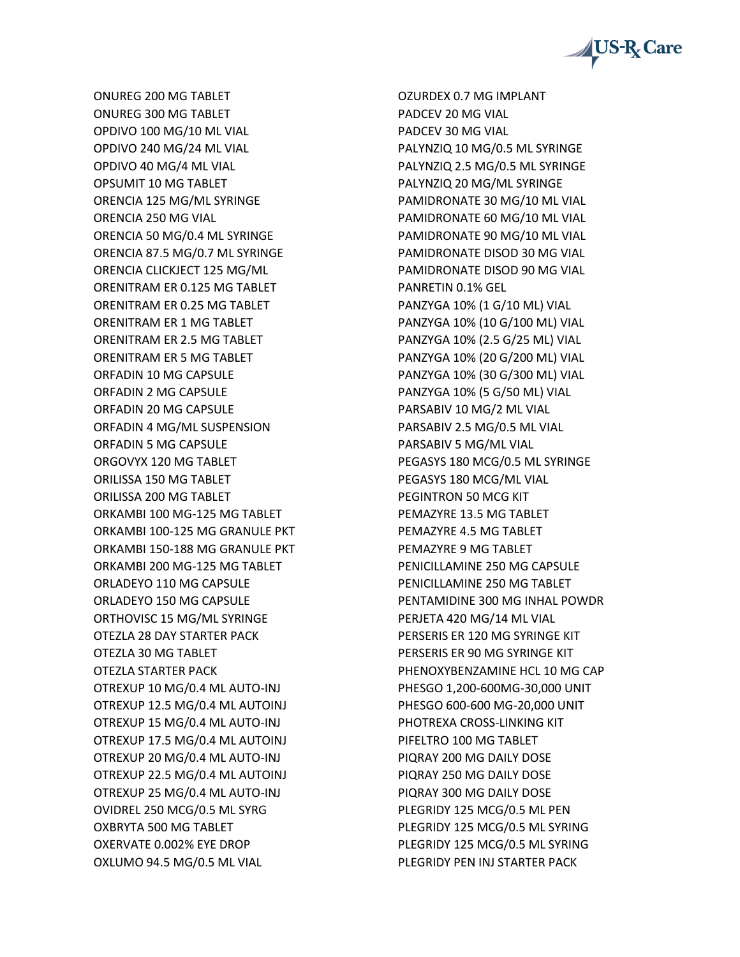

ONUREG 200 MG TABLET ONUREG 300 MG TABLET OPDIVO 100 MG/10 ML VIAL OPDIVO 240 MG/24 ML VIAL OPDIVO 40 MG/4 ML VIAL OPSUMIT 10 MG TABLET ORENCIA 125 MG/ML SYRINGE ORENCIA 250 MG VIAL ORENCIA 50 MG/0.4 ML SYRINGE ORENCIA 87.5 MG/0.7 ML SYRINGE ORENCIA CLICKJECT 125 MG/ML ORENITRAM ER 0.125 MG TABLET ORENITRAM ER 0.25 MG TABLET ORENITRAM ER 1 MG TABLET ORENITRAM ER 2.5 MG TABLET ORENITRAM ER 5 MG TABLET ORFADIN 10 MG CAPSULE ORFADIN 2 MG CAPSULE ORFADIN 20 MG CAPSULE ORFADIN 4 MG/ML SUSPENSION ORFADIN 5 MG CAPSULE ORGOVYX 120 MG TABLET ORILISSA 150 MG TABLET ORILISSA 200 MG TABLET ORKAMBI 100 MG-125 MG TABLET ORKAMBI 100-125 MG GRANULE PKT ORKAMBI 150-188 MG GRANULE PKT ORKAMBI 200 MG-125 MG TABLET ORLADEYO 110 MG CAPSULE ORLADEYO 150 MG CAPSULE ORTHOVISC 15 MG/ML SYRINGE OTEZLA 28 DAY STARTER PACK OTEZLA 30 MG TABLET OTEZLA STARTER PACK OTREXUP 10 MG/0.4 ML AUTO-INJ OTREXUP 12.5 MG/0.4 ML AUTOINJ OTREXUP 15 MG/0.4 ML AUTO-INJ OTREXUP 17.5 MG/0.4 ML AUTOINJ OTREXUP 20 MG/0.4 ML AUTO-INJ OTREXUP 22.5 MG/0.4 ML AUTOINJ OTREXUP 25 MG/0.4 ML AUTO-INJ OVIDREL 250 MCG/0.5 ML SYRG OXBRYTA 500 MG TABLET OXERVATE 0.002% EYE DROP OXLUMO 94.5 MG/0.5 ML VIAL

OZURDEX 0.7 MG IMPLANT PADCEV 20 MG VIAL PADCEV 30 MG VIAL PALYNZIQ 10 MG/0.5 ML SYRINGE PALYNZIQ 2.5 MG/0.5 ML SYRINGE PALYNZIQ 20 MG/ML SYRINGE PAMIDRONATE 30 MG/10 ML VIAL PAMIDRONATE 60 MG/10 ML VIAL PAMIDRONATE 90 MG/10 ML VIAL PAMIDRONATE DISOD 30 MG VIAL PAMIDRONATE DISOD 90 MG VIAL PANRETIN 0.1% GEL PANZYGA 10% (1 G/10 ML) VIAL PANZYGA 10% (10 G/100 ML) VIAL PANZYGA 10% (2.5 G/25 ML) VIAL PANZYGA 10% (20 G/200 ML) VIAL PANZYGA 10% (30 G/300 ML) VIAL PANZYGA 10% (5 G/50 ML) VIAL PARSABIV 10 MG/2 ML VIAL PARSABIV 2.5 MG/0.5 ML VIAL PARSABIV 5 MG/ML VIAL PEGASYS 180 MCG/0.5 ML SYRINGE PEGASYS 180 MCG/ML VIAL PEGINTRON 50 MCG KIT PEMAZYRE 13.5 MG TABLET PEMAZYRE 4.5 MG TABLET PEMAZYRE 9 MG TABLET PENICILLAMINE 250 MG CAPSULE PENICILLAMINE 250 MG TABLET PENTAMIDINE 300 MG INHAL POWDR PERJETA 420 MG/14 ML VIAL PERSERIS ER 120 MG SYRINGE KIT PERSERIS ER 90 MG SYRINGE KIT PHENOXYBENZAMINE HCL 10 MG CAP PHESGO 1,200-600MG-30,000 UNIT PHESGO 600-600 MG-20,000 UNIT PHOTREXA CROSS-LINKING KIT PIFELTRO 100 MG TABLET PIQRAY 200 MG DAILY DOSE PIQRAY 250 MG DAILY DOSE PIQRAY 300 MG DAILY DOSE PLEGRIDY 125 MCG/0.5 ML PEN PLEGRIDY 125 MCG/0.5 ML SYRING PLEGRIDY 125 MCG/0.5 ML SYRING PLEGRIDY PEN INJ STARTER PACK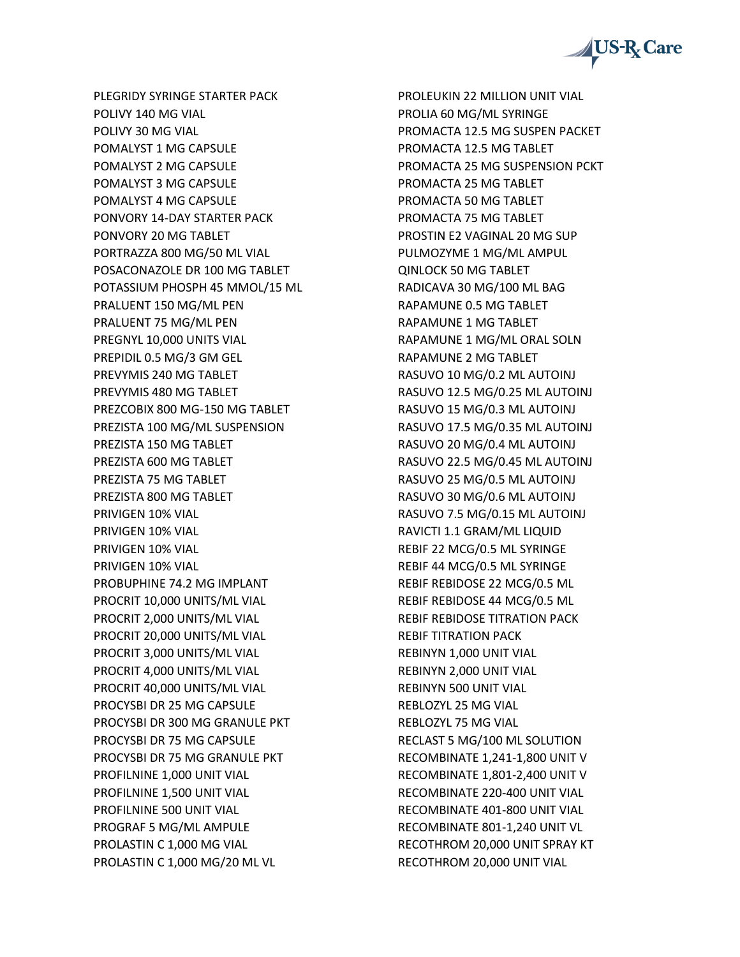US-R<sub>x</sub> Care

PLEGRIDY SYRINGE STARTER PACK POLIVY 140 MG VIAL POLIVY 30 MG VIAL POMALYST 1 MG CAPSULE POMALYST 2 MG CAPSULE POMALYST 3 MG CAPSULE POMALYST 4 MG CAPSULE PONVORY 14-DAY STARTER PACK PONVORY 20 MG TABLET PORTRAZZA 800 MG/50 ML VIAL POSACONAZOLE DR 100 MG TABLET POTASSIUM PHOSPH 45 MMOL/15 ML PRALUENT 150 MG/ML PEN PRALUENT 75 MG/ML PEN PREGNYL 10,000 UNITS VIAL PREPIDIL 0.5 MG/3 GM GEL PREVYMIS 240 MG TABLET PREVYMIS 480 MG TABLET PREZCOBIX 800 MG-150 MG TABLET PREZISTA 100 MG/ML SUSPENSION PREZISTA 150 MG TABLET PREZISTA 600 MG TABLET PREZISTA 75 MG TABLET PREZISTA 800 MG TABLET PRIVIGEN 10% VIAL PRIVIGEN 10% VIAL PRIVIGEN 10% VIAL PRIVIGEN 10% VIAL PROBUPHINE 74.2 MG IMPLANT PROCRIT 10,000 UNITS/ML VIAL PROCRIT 2,000 UNITS/ML VIAL PROCRIT 20,000 UNITS/ML VIAL PROCRIT 3,000 UNITS/ML VIAL PROCRIT 4,000 UNITS/ML VIAL PROCRIT 40,000 UNITS/ML VIAL PROCYSBI DR 25 MG CAPSULE PROCYSBI DR 300 MG GRANULE PKT PROCYSBI DR 75 MG CAPSULE PROCYSBI DR 75 MG GRANULE PKT PROFILNINE 1,000 UNIT VIAL PROFILNINE 1,500 UNIT VIAL PROFILNINE 500 UNIT VIAL PROGRAF 5 MG/ML AMPULE PROLASTIN C 1,000 MG VIAL PROLASTIN C 1,000 MG/20 ML VL

PROLEUKIN 22 MILLION UNIT VIAL PROLIA 60 MG/ML SYRINGE PROMACTA 12.5 MG SUSPEN PACKET PROMACTA 12.5 MG TABLET PROMACTA 25 MG SUSPENSION PCKT PROMACTA 25 MG TABLET PROMACTA 50 MG TABLET PROMACTA 75 MG TABLET PROSTIN E2 VAGINAL 20 MG SUP PULMOZYME 1 MG/ML AMPUL QINLOCK 50 MG TABLET RADICAVA 30 MG/100 ML BAG RAPAMUNE 0.5 MG TABLET RAPAMUNE 1 MG TABLET RAPAMUNE 1 MG/ML ORAL SOLN RAPAMUNE 2 MG TABLET RASUVO 10 MG/0.2 ML AUTOINJ RASUVO 12.5 MG/0.25 ML AUTOINJ RASUVO 15 MG/0.3 ML AUTOINJ RASUVO 17.5 MG/0.35 ML AUTOINJ RASUVO 20 MG/0.4 ML AUTOINJ RASUVO 22.5 MG/0.45 ML AUTOINJ RASUVO 25 MG/0.5 ML AUTOINJ RASUVO 30 MG/0.6 ML AUTOINJ RASUVO 7.5 MG/0.15 ML AUTOINJ RAVICTI 1.1 GRAM/ML LIQUID REBIF 22 MCG/0.5 ML SYRINGE REBIF 44 MCG/0.5 ML SYRINGE REBIF REBIDOSE 22 MCG/0.5 ML REBIF REBIDOSE 44 MCG/0.5 ML REBIF REBIDOSE TITRATION PACK REBIF TITRATION PACK REBINYN 1,000 UNIT VIAL REBINYN 2,000 UNIT VIAL REBINYN 500 UNIT VIAL REBLOZYL 25 MG VIAL REBLOZYL 75 MG VIAL RECLAST 5 MG/100 ML SOLUTION RECOMBINATE 1,241-1,800 UNIT V RECOMBINATE 1,801-2,400 UNIT V RECOMBINATE 220-400 UNIT VIAL RECOMBINATE 401-800 UNIT VIAL RECOMBINATE 801-1,240 UNIT VL RECOTHROM 20,000 UNIT SPRAY KT RECOTHROM 20,000 UNIT VIAL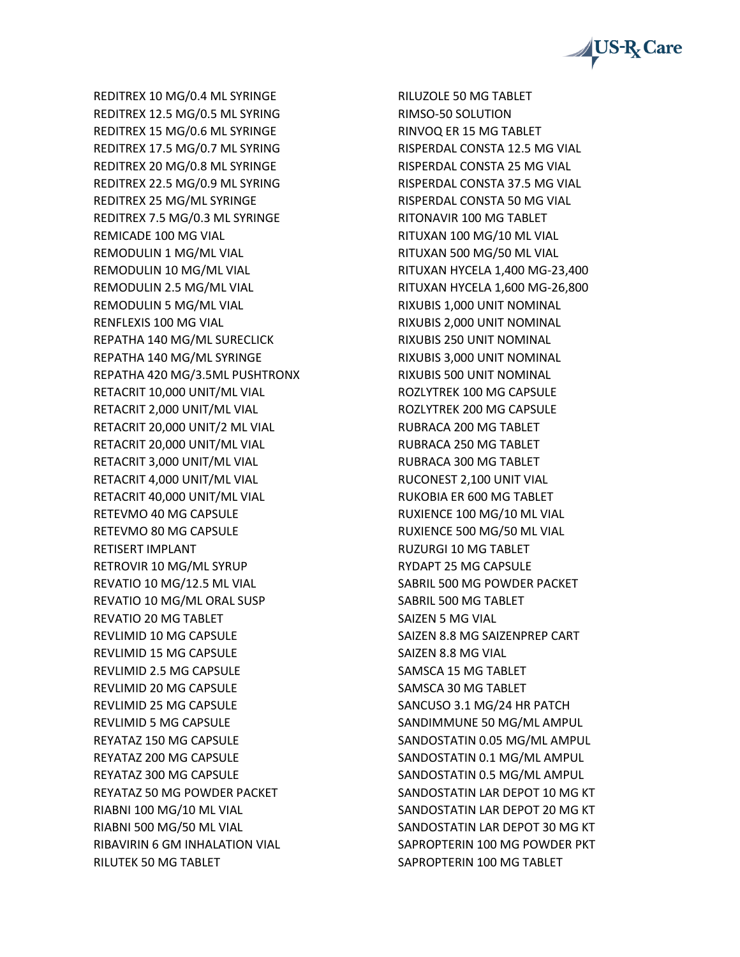

REDITREX 10 MG/0.4 ML SYRINGE REDITREX 12.5 MG/0.5 ML SYRING REDITREX 15 MG/0.6 ML SYRINGE REDITREX 17.5 MG/0.7 ML SYRING REDITREX 20 MG/0.8 ML SYRINGE REDITREX 22.5 MG/0.9 ML SYRING REDITREX 25 MG/ML SYRINGE REDITREX 7.5 MG/0.3 ML SYRINGE REMICADE 100 MG VIAL REMODULIN 1 MG/ML VIAL REMODULIN 10 MG/ML VIAL REMODULIN 2.5 MG/ML VIAL REMODULIN 5 MG/ML VIAL RENFLEXIS 100 MG VIAL REPATHA 140 MG/ML SURECLICK REPATHA 140 MG/ML SYRINGE REPATHA 420 MG/3.5ML PUSHTRONX RETACRIT 10,000 UNIT/ML VIAL RETACRIT 2,000 UNIT/ML VIAL RETACRIT 20,000 UNIT/2 ML VIAL RETACRIT 20,000 UNIT/ML VIAL RETACRIT 3,000 UNIT/ML VIAL RETACRIT 4,000 UNIT/ML VIAL RETACRIT 40,000 UNIT/ML VIAL RETEVMO 40 MG CAPSULE RETEVMO 80 MG CAPSULE RETISERT IMPLANT RETROVIR 10 MG/ML SYRUP REVATIO 10 MG/12.5 ML VIAL REVATIO 10 MG/ML ORAL SUSP REVATIO 20 MG TABLET REVLIMID 10 MG CAPSULE REVLIMID 15 MG CAPSULE REVLIMID 2.5 MG CAPSULE REVLIMID 20 MG CAPSULE REVLIMID 25 MG CAPSULE REVLIMID 5 MG CAPSULE REYATAZ 150 MG CAPSULE REYATAZ 200 MG CAPSULE REYATAZ 300 MG CAPSULE REYATAZ 50 MG POWDER PACKET RIABNI 100 MG/10 ML VIAL RIABNI 500 MG/50 ML VIAL RIBAVIRIN 6 GM INHALATION VIAL RILUTEK 50 MG TABLET

RILUZOLE 50 MG TABLET RIMSO-50 SOLUTION RINVOQ ER 15 MG TABLET RISPERDAL CONSTA 12.5 MG VIAL RISPERDAL CONSTA 25 MG VIAL RISPERDAL CONSTA 37.5 MG VIAL RISPERDAL CONSTA 50 MG VIAL RITONAVIR 100 MG TABLET RITUXAN 100 MG/10 ML VIAL RITUXAN 500 MG/50 ML VIAL RITUXAN HYCELA 1,400 MG-23,400 RITUXAN HYCELA 1,600 MG-26,800 RIXUBIS 1,000 UNIT NOMINAL RIXUBIS 2,000 UNIT NOMINAL RIXUBIS 250 UNIT NOMINAL RIXUBIS 3,000 UNIT NOMINAL RIXUBIS 500 UNIT NOMINAL ROZLYTREK 100 MG CAPSULE ROZLYTREK 200 MG CAPSULE RUBRACA 200 MG TABLET RUBRACA 250 MG TABLET RUBRACA 300 MG TABLET RUCONEST 2,100 UNIT VIAL RUKOBIA ER 600 MG TABLET RUXIENCE 100 MG/10 ML VIAL RUXIENCE 500 MG/50 ML VIAL RUZURGI 10 MG TABLET RYDAPT 25 MG CAPSULE SABRIL 500 MG POWDER PACKET SABRIL 500 MG TABLET SAIZEN 5 MG VIAL SAIZEN 8.8 MG SAIZENPREP CART SAIZEN 8.8 MG VIAL SAMSCA 15 MG TABLET SAMSCA 30 MG TABLET SANCUSO 3.1 MG/24 HR PATCH SANDIMMUNE 50 MG/ML AMPUL SANDOSTATIN 0.05 MG/ML AMPUL SANDOSTATIN 0.1 MG/ML AMPUL SANDOSTATIN 0.5 MG/ML AMPUL SANDOSTATIN LAR DEPOT 10 MG KT SANDOSTATIN LAR DEPOT 20 MG KT SANDOSTATIN LAR DEPOT 30 MG KT SAPROPTERIN 100 MG POWDER PKT SAPROPTERIN 100 MG TABLET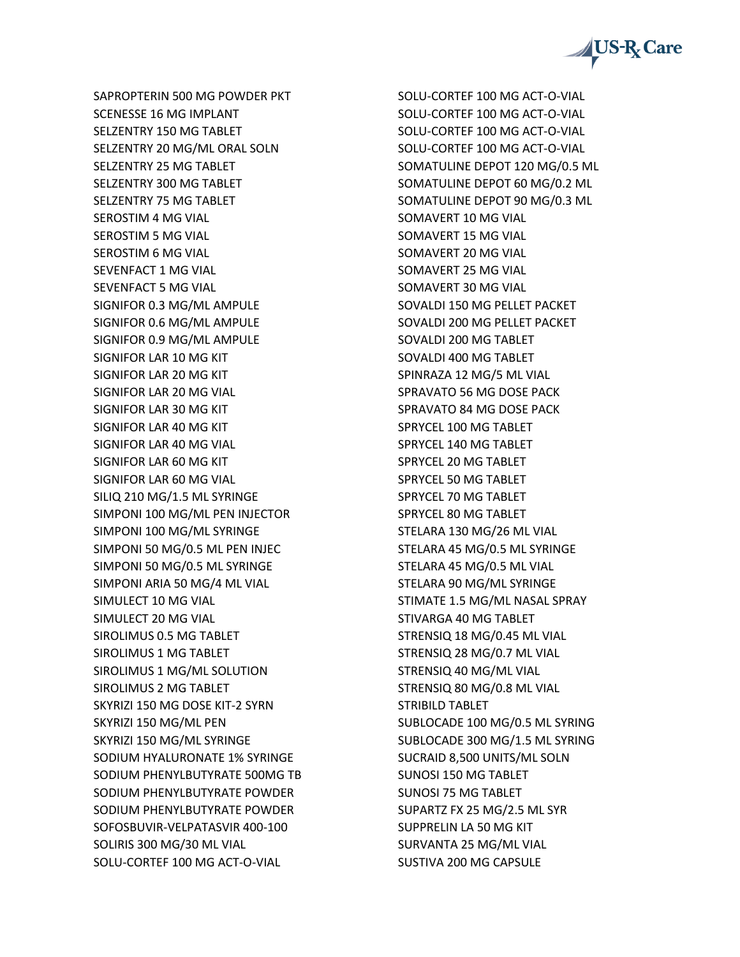

SAPROPTERIN 500 MG POWDER PKT SCENESSE 16 MG IMPLANT SELZENTRY 150 MG TABLET SELZENTRY 20 MG/ML ORAL SOLN SELZENTRY 25 MG TABLET SELZENTRY 300 MG TABLET SELZENTRY 75 MG TABLET SEROSTIM 4 MG VIAL SEROSTIM 5 MG VIAL SEROSTIM 6 MG VIAL SEVENFACT 1 MG VIAL SEVENFACT 5 MG VIAL SIGNIFOR 0.3 MG/ML AMPULE SIGNIFOR 0.6 MG/ML AMPULE SIGNIFOR 0.9 MG/ML AMPULE SIGNIFOR LAR 10 MG KIT SIGNIFOR LAR 20 MG KIT SIGNIFOR LAR 20 MG VIAL SIGNIFOR LAR 30 MG KIT SIGNIFOR LAR 40 MG KIT SIGNIFOR LAR 40 MG VIAL SIGNIFOR LAR 60 MG KIT SIGNIFOR LAR 60 MG VIAL SILIQ 210 MG/1.5 ML SYRINGE SIMPONI 100 MG/ML PEN INJECTOR SIMPONI 100 MG/ML SYRINGE SIMPONI 50 MG/0.5 ML PEN INJEC SIMPONI 50 MG/0.5 ML SYRINGE SIMPONI ARIA 50 MG/4 ML VIAL SIMULECT 10 MG VIAL SIMULECT 20 MG VIAL SIROLIMUS 0.5 MG TABLET SIROLIMUS 1 MG TABLET SIROLIMUS 1 MG/ML SOLUTION SIROLIMUS 2 MG TABLET SKYRIZI 150 MG DOSE KIT-2 SYRN SKYRIZI 150 MG/ML PEN SKYRIZI 150 MG/ML SYRINGE SODIUM HYALURONATE 1% SYRINGE SODIUM PHENYLBUTYRATE 500MG TB SODIUM PHENYLBUTYRATE POWDER SODIUM PHENYLBUTYRATE POWDER SOFOSBUVIR-VELPATASVIR 400-100 SOLIRIS 300 MG/30 ML VIAL SOLU-CORTEF 100 MG ACT-O-VIAL

SOLU-CORTEF 100 MG ACT-O-VIAL SOLU-CORTEF 100 MG ACT-O-VIAL SOLU-CORTEF 100 MG ACT-O-VIAL SOLU-CORTEF 100 MG ACT-O-VIAL SOMATULINE DEPOT 120 MG/0.5 ML SOMATULINE DEPOT 60 MG/0.2 ML SOMATULINE DEPOT 90 MG/0.3 ML SOMAVERT 10 MG VIAL SOMAVERT 15 MG VIAL SOMAVERT 20 MG VIAL SOMAVERT 25 MG VIAL SOMAVERT 30 MG VIAL SOVALDI 150 MG PELLET PACKET SOVALDI 200 MG PELLET PACKET SOVALDI 200 MG TABLET SOVALDI 400 MG TABLET SPINRAZA 12 MG/5 ML VIAL SPRAVATO 56 MG DOSE PACK SPRAVATO 84 MG DOSE PACK SPRYCEL 100 MG TABLET SPRYCEL 140 MG TABLET SPRYCEL 20 MG TABLET SPRYCEL 50 MG TABLET SPRYCEL 70 MG TABLET SPRYCEL 80 MG TABLET STELARA 130 MG/26 ML VIAL STELARA 45 MG/0.5 ML SYRINGE STELARA 45 MG/0.5 ML VIAL STELARA 90 MG/ML SYRINGE STIMATE 1.5 MG/ML NASAL SPRAY STIVARGA 40 MG TABLET STRENSIQ 18 MG/0.45 ML VIAL STRENSIQ 28 MG/0.7 ML VIAL STRENSIQ 40 MG/ML VIAL STRENSIQ 80 MG/0.8 ML VIAL STRIBILD TABLET SUBLOCADE 100 MG/0.5 ML SYRING SUBLOCADE 300 MG/1.5 ML SYRING SUCRAID 8,500 UNITS/ML SOLN SUNOSI 150 MG TABLET SUNOSI 75 MG TABLET SUPARTZ FX 25 MG/2.5 ML SYR SUPPRELIN LA 50 MG KIT SURVANTA 25 MG/ML VIAL SUSTIVA 200 MG CAPSULE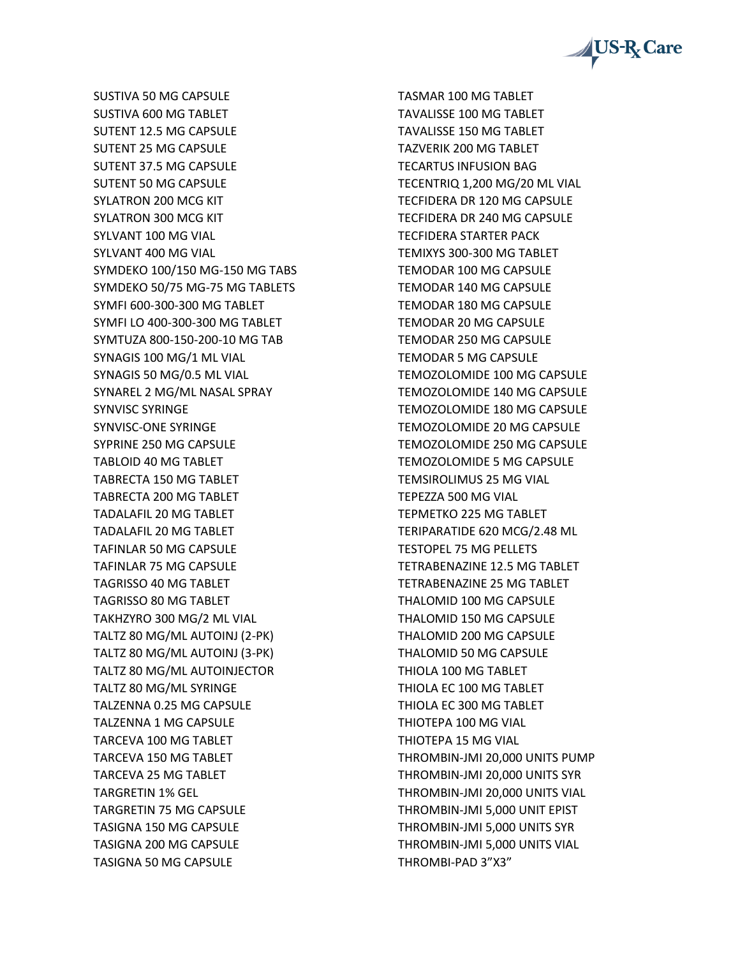

SUSTIVA 50 MG CAPSULE SUSTIVA 600 MG TABLET SUTENT 12.5 MG CAPSULE SUTENT 25 MG CAPSULE SUTENT 37.5 MG CAPSULE SUTENT 50 MG CAPSULE SYLATRON 200 MCG KIT SYLATRON 300 MCG KIT SYLVANT 100 MG VIAL SYLVANT 400 MG VIAL SYMDEKO 100/150 MG-150 MG TABS SYMDEKO 50/75 MG-75 MG TABLETS SYMFI 600-300-300 MG TABLET SYMFI LO 400-300-300 MG TABLET SYMTUZA 800-150-200-10 MG TAB SYNAGIS 100 MG/1 ML VIAL SYNAGIS 50 MG/0.5 ML VIAL SYNAREL 2 MG/ML NASAL SPRAY SYNVISC SYRINGE SYNVISC-ONE SYRINGE SYPRINE 250 MG CAPSULE TABLOID 40 MG TABLET TABRECTA 150 MG TABLET TABRECTA 200 MG TABLET TADALAFIL 20 MG TABLET TADALAFIL 20 MG TABLET TAFINLAR 50 MG CAPSULE TAFINLAR 75 MG CAPSULE TAGRISSO 40 MG TABLET TAGRISSO 80 MG TABLET TAKHZYRO 300 MG/2 ML VIAL TALTZ 80 MG/ML AUTOINJ (2-PK) TALTZ 80 MG/ML AUTOINJ (3-PK) TALTZ 80 MG/ML AUTOINJECTOR TALTZ 80 MG/ML SYRINGE TALZENNA 0.25 MG CAPSULE TALZENNA 1 MG CAPSULE TARCEVA 100 MG TABLET TARCEVA 150 MG TABLET TARCEVA 25 MG TABLET TARGRETIN 1% GEL TARGRETIN 75 MG CAPSULE TASIGNA 150 MG CAPSULE TASIGNA 200 MG CAPSULE TASIGNA 50 MG CAPSULE

TASMAR 100 MG TABLET TAVALISSE 100 MG TABLET TAVALISSE 150 MG TABLET TAZVERIK 200 MG TABLET TECARTUS INFUSION BAG TECENTRIQ 1,200 MG/20 ML VIAL TECFIDERA DR 120 MG CAPSULE TECFIDERA DR 240 MG CAPSULE TECFIDERA STARTER PACK TEMIXYS 300-300 MG TABLET TEMODAR 100 MG CAPSULE TEMODAR 140 MG CAPSULE TEMODAR 180 MG CAPSULE TEMODAR 20 MG CAPSULE TEMODAR 250 MG CAPSULE TEMODAR 5 MG CAPSULE TEMOZOLOMIDE 100 MG CAPSULE TEMOZOLOMIDE 140 MG CAPSULE TEMOZOLOMIDE 180 MG CAPSULE TEMOZOLOMIDE 20 MG CAPSULE TEMOZOLOMIDE 250 MG CAPSULE TEMOZOLOMIDE 5 MG CAPSULE TEMSIROLIMUS 25 MG VIAL TEPEZZA 500 MG VIAL TEPMETKO 225 MG TABLET TERIPARATIDE 620 MCG/2.48 ML TESTOPEL 75 MG PELLETS TETRABENAZINE 12.5 MG TABLET TETRABENAZINE 25 MG TABLET THALOMID 100 MG CAPSULE THALOMID 150 MG CAPSULE THALOMID 200 MG CAPSULE THALOMID 50 MG CAPSULE THIOLA 100 MG TABLET THIOLA EC 100 MG TABLET THIOLA EC 300 MG TABLET THIOTEPA 100 MG VIAL THIOTEPA 15 MG VIAL THROMBIN-JMI 20,000 UNITS PUMP THROMBIN-JMI 20,000 UNITS SYR THROMBIN-JMI 20,000 UNITS VIAL THROMBIN-JMI 5,000 UNIT EPIST THROMBIN-JMI 5,000 UNITS SYR THROMBIN-JMI 5,000 UNITS VIAL THROMBI-PAD 3"X3"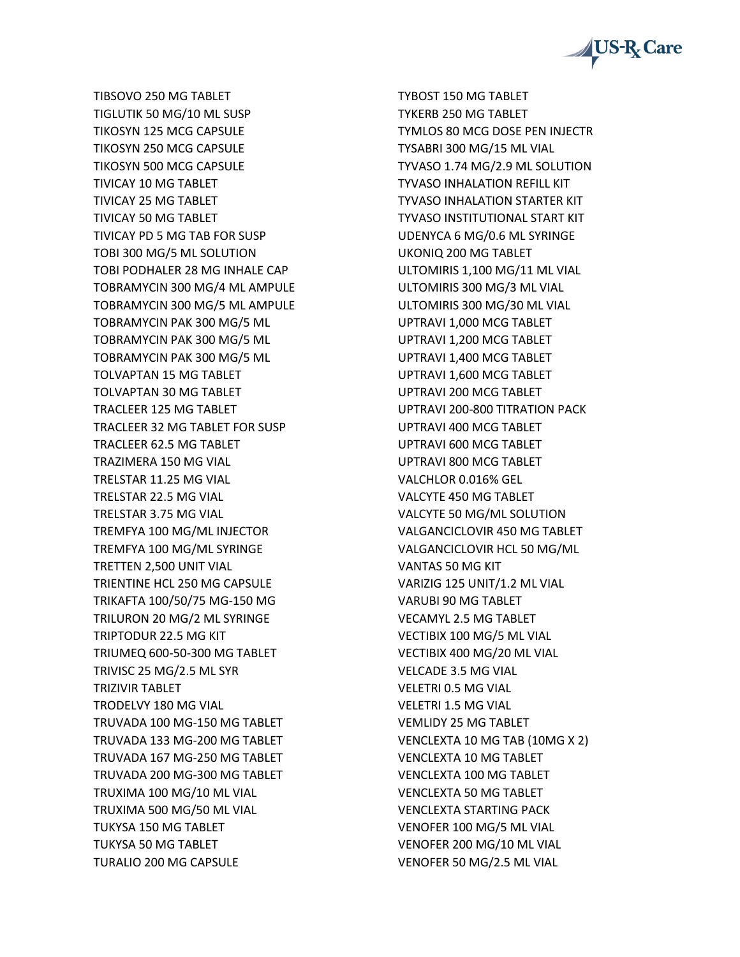

TIBSOVO 250 MG TABLET TIGLUTIK 50 MG/10 ML SUSP TIKOSYN 125 MCG CAPSULE TIKOSYN 250 MCG CAPSULE TIKOSYN 500 MCG CAPSULE TIVICAY 10 MG TABLET TIVICAY 25 MG TABLET TIVICAY 50 MG TABLET TIVICAY PD 5 MG TAB FOR SUSP TOBI 300 MG/5 ML SOLUTION TOBI PODHALER 28 MG INHALE CAP TOBRAMYCIN 300 MG/4 ML AMPULE TOBRAMYCIN 300 MG/5 ML AMPULE TOBRAMYCIN PAK 300 MG/5 ML TOBRAMYCIN PAK 300 MG/5 ML TOBRAMYCIN PAK 300 MG/5 ML TOLVAPTAN 15 MG TABLET TOLVAPTAN 30 MG TABLET TRACLEER 125 MG TABLET TRACLEER 32 MG TABLET FOR SUSP TRACLEER 62.5 MG TABLET TRAZIMERA 150 MG VIAL TRELSTAR 11.25 MG VIAL TRELSTAR 22.5 MG VIAL TRELSTAR 3.75 MG VIAL TREMFYA 100 MG/ML INJECTOR TREMFYA 100 MG/ML SYRINGE TRETTEN 2,500 UNIT VIAL TRIENTINE HCL 250 MG CAPSULE TRIKAFTA 100/50/75 MG-150 MG TRILURON 20 MG/2 ML SYRINGE TRIPTODUR 22.5 MG KIT TRIUMEQ 600-50-300 MG TABLET TRIVISC 25 MG/2.5 ML SYR TRIZIVIR TABLET TRODELVY 180 MG VIAL TRUVADA 100 MG-150 MG TABLET TRUVADA 133 MG-200 MG TABLET TRUVADA 167 MG-250 MG TABLET TRUVADA 200 MG-300 MG TABLET TRUXIMA 100 MG/10 ML VIAL TRUXIMA 500 MG/50 ML VIAL TUKYSA 150 MG TABLET TUKYSA 50 MG TABLET TURALIO 200 MG CAPSULE

TYBOST 150 MG TABLET TYKERB 250 MG TABLET TYMLOS 80 MCG DOSE PEN INJECTR TYSABRI 300 MG/15 ML VIAL TYVASO 1.74 MG/2.9 ML SOLUTION TYVASO INHALATION REFILL KIT TYVASO INHALATION STARTER KIT TYVASO INSTITUTIONAL START KIT UDENYCA 6 MG/0.6 ML SYRINGE UKONIQ 200 MG TABLET ULTOMIRIS 1,100 MG/11 ML VIAL ULTOMIRIS 300 MG/3 ML VIAL ULTOMIRIS 300 MG/30 ML VIAL UPTRAVI 1,000 MCG TABLET UPTRAVI 1,200 MCG TABLET UPTRAVI 1,400 MCG TABLET UPTRAVI 1,600 MCG TABLET UPTRAVI 200 MCG TABLET UPTRAVI 200-800 TITRATION PACK UPTRAVI 400 MCG TABLET UPTRAVI 600 MCG TABLET UPTRAVI 800 MCG TABLET VALCHLOR 0.016% GEL VALCYTE 450 MG TABLET VALCYTE 50 MG/ML SOLUTION VALGANCICLOVIR 450 MG TABLET VALGANCICLOVIR HCL 50 MG/ML VANTAS 50 MG KIT VARIZIG 125 UNIT/1.2 ML VIAL VARUBI 90 MG TABLET VECAMYL 2.5 MG TABLET VECTIBIX 100 MG/5 ML VIAL VECTIBIX 400 MG/20 ML VIAL VELCADE 3.5 MG VIAL VELETRI 0.5 MG VIAL VELETRI 1.5 MG VIAL VEMLIDY 25 MG TABLET VENCLEXTA 10 MG TAB (10MG X 2) VENCLEXTA 10 MG TABLET VENCLEXTA 100 MG TABLET VENCLEXTA 50 MG TABLET VENCLEXTA STARTING PACK VENOFER 100 MG/5 ML VIAL VENOFER 200 MG/10 ML VIAL VENOFER 50 MG/2.5 ML VIAL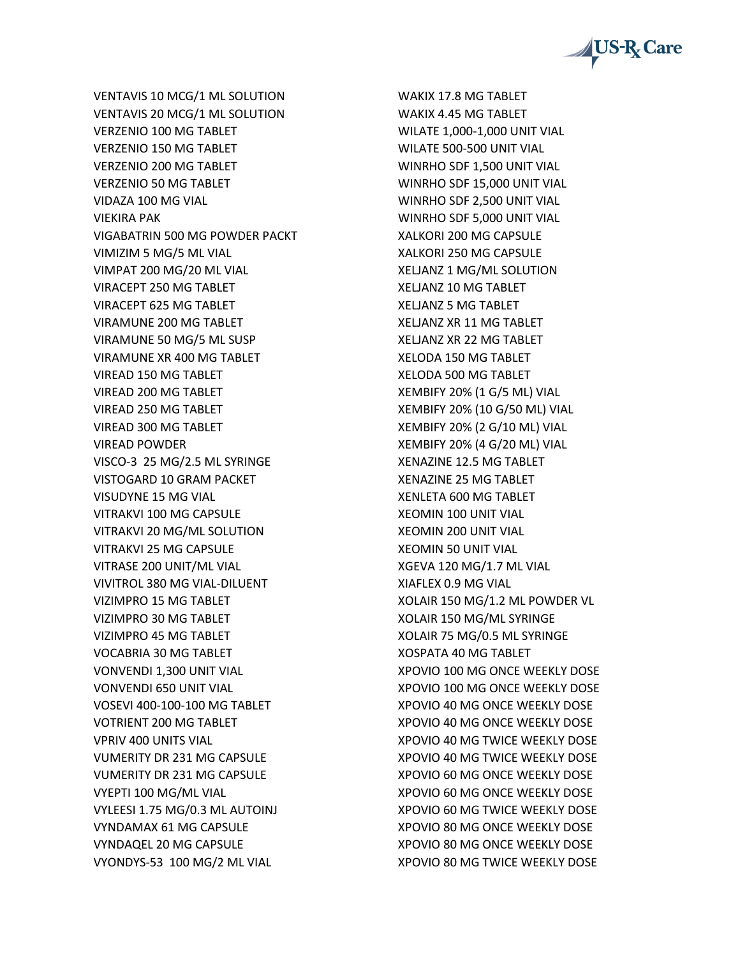

VENTAVIS 10 MCG/1 ML SOLUTION VENTAVIS 20 MCG/1 ML SOLUTION VERZENIO 100 MG TABLET VERZENIO 150 MG TABLET VERZENIO 200 MG TABLET VERZENIO 50 MG TABLET VIDAZA 100 MG VIAL VIEKIRA PAK VIGABATRIN 500 MG POWDER PACKT VIMIZIM 5 MG/5 ML VIAL VIMPAT 200 MG/20 ML VIAL VIRACEPT 250 MG TABLET VIRACEPT 625 MG TABLET VIRAMUNE 200 MG TABLET VIRAMUNE 50 MG/5 ML SUSP VIRAMUNE XR 400 MG TABLET VIREAD 150 MG TABLET VIREAD 200 MG TABLET VIREAD 250 MG TABLET VIREAD 300 MG TABLET VIREAD POWDER VISCO-3 25 MG/2.5 ML SYRINGE VISTOGARD 10 GRAM PACKET VISUDYNE 15 MG VIAL VITRAKVI 100 MG CAPSULE VITRAKVI 20 MG/ML SOLUTION VITRAKVI 25 MG CAPSULE VITRASE 200 UNIT/ML VIAL VIVITROL 380 MG VIAL-DILUENT VIZIMPRO 15 MG TABLET VIZIMPRO 30 MG TABLET VIZIMPRO 45 MG TABLET VOCABRIA 30 MG TABLET VONVENDI 1,300 UNIT VIAL VONVENDI 650 UNIT VIAL VOSEVI 400-100-100 MG TABLET VOTRIENT 200 MG TABLET VPRIV 400 UNITS VIAL VUMERITY DR 231 MG CAPSULE VUMERITY DR 231 MG CAPSULE VYEPTI 100 MG/ML VIAL VYLEESI 1.75 MG/0.3 ML AUTOINJ VYNDAMAX 61 MG CAPSULE VYNDAQEL 20 MG CAPSULE VYONDYS-53 100 MG/2 ML VIAL

WAKIX 17.8 MG TABLET WAKIX 4.45 MG TABLET WILATE 1,000-1,000 UNIT VIAL WILATE 500-500 UNIT VIAL WINRHO SDF 1,500 UNIT VIAL WINRHO SDF 15,000 UNIT VIAL WINRHO SDF 2,500 UNIT VIAL WINRHO SDF 5,000 UNIT VIAL XALKORI 200 MG CAPSULE XALKORI 250 MG CAPSULE XELJANZ 1 MG/ML SOLUTION XELJANZ 10 MG TABLET XELJANZ 5 MG TABLET XELJANZ XR 11 MG TABLET XELJANZ XR 22 MG TABLET XELODA 150 MG TABLET XELODA 500 MG TABLET XEMBIFY 20% (1 G/5 ML) VIAL XEMBIFY 20% (10 G/50 ML) VIAL XEMBIFY 20% (2 G/10 ML) VIAL XEMBIFY 20% (4 G/20 ML) VIAL XENAZINE 12.5 MG TABLET XENAZINE 25 MG TABLET XENLETA 600 MG TABLET XEOMIN 100 UNIT VIAL XEOMIN 200 UNIT VIAL XEOMIN 50 UNIT VIAL XGEVA 120 MG/1.7 ML VIAL XIAFLEX 0.9 MG VIAL XOLAIR 150 MG/1.2 ML POWDER VL XOLAIR 150 MG/ML SYRINGE XOLAIR 75 MG/0.5 ML SYRINGE XOSPATA 40 MG TABLET XPOVIO 100 MG ONCE WEEKLY DOSE XPOVIO 100 MG ONCE WEEKLY DOSE XPOVIO 40 MG ONCE WEEKLY DOSE XPOVIO 40 MG ONCE WEEKLY DOSE XPOVIO 40 MG TWICE WEEKLY DOSE XPOVIO 40 MG TWICE WEEKLY DOSE XPOVIO 60 MG ONCE WEEKLY DOSE XPOVIO 60 MG ONCE WEEKLY DOSE XPOVIO 60 MG TWICE WEEKLY DOSE XPOVIO 80 MG ONCE WEEKLY DOSE XPOVIO 80 MG ONCE WEEKLY DOSE XPOVIO 80 MG TWICE WEEKLY DOSE